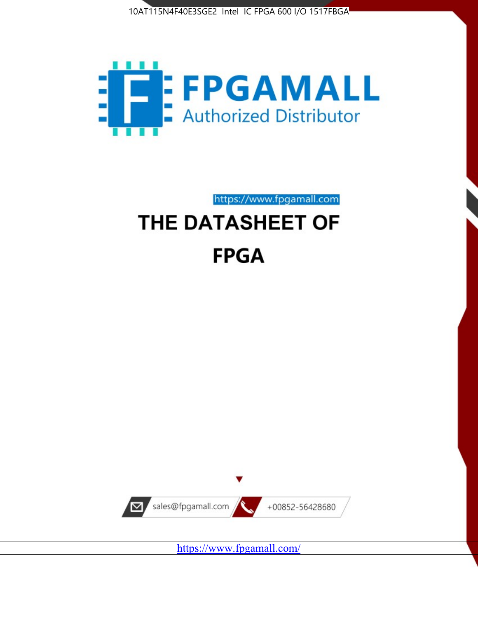



https://www.fpgamall.com

# THE DATASHEET OF **FPGA**



<https://www.fpgamall.com/>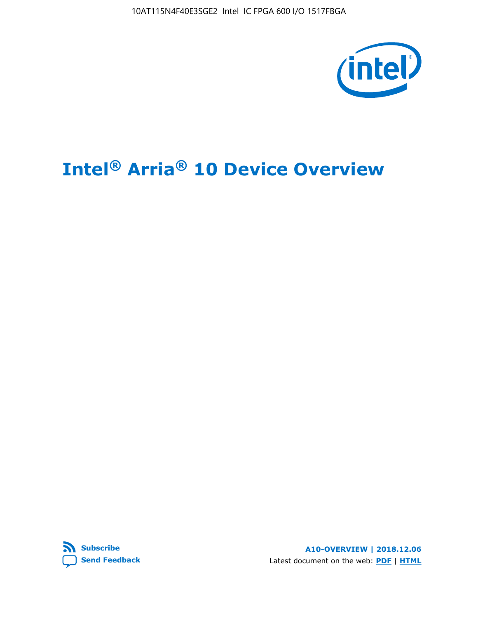10AT115N4F40E3SGE2 Intel IC FPGA 600 I/O 1517FBGA



# **Intel® Arria® 10 Device Overview**



**A10-OVERVIEW | 2018.12.06** Latest document on the web: **[PDF](https://www.intel.com/content/dam/www/programmable/us/en/pdfs/literature/hb/arria-10/a10_overview.pdf)** | **[HTML](https://www.intel.com/content/www/us/en/programmable/documentation/sam1403480274650.html)**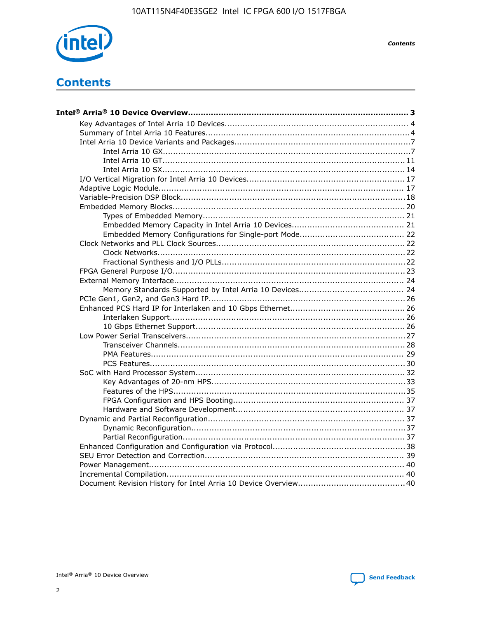

**Contents** 

# **Contents**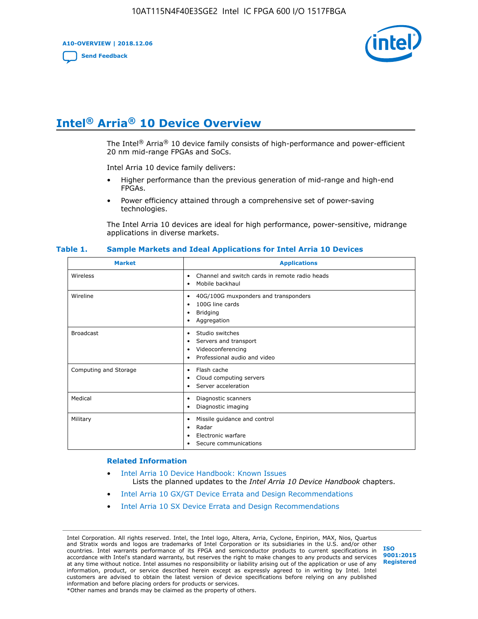**A10-OVERVIEW | 2018.12.06**

**[Send Feedback](mailto:FPGAtechdocfeedback@intel.com?subject=Feedback%20on%20Intel%20Arria%2010%20Device%20Overview%20(A10-OVERVIEW%202018.12.06)&body=We%20appreciate%20your%20feedback.%20In%20your%20comments,%20also%20specify%20the%20page%20number%20or%20paragraph.%20Thank%20you.)**



# **Intel® Arria® 10 Device Overview**

The Intel<sup>®</sup> Arria<sup>®</sup> 10 device family consists of high-performance and power-efficient 20 nm mid-range FPGAs and SoCs.

Intel Arria 10 device family delivers:

- Higher performance than the previous generation of mid-range and high-end FPGAs.
- Power efficiency attained through a comprehensive set of power-saving technologies.

The Intel Arria 10 devices are ideal for high performance, power-sensitive, midrange applications in diverse markets.

| <b>Market</b>         | <b>Applications</b>                                                                                               |
|-----------------------|-------------------------------------------------------------------------------------------------------------------|
| Wireless              | Channel and switch cards in remote radio heads<br>٠<br>Mobile backhaul<br>٠                                       |
| Wireline              | 40G/100G muxponders and transponders<br>٠<br>100G line cards<br>٠<br><b>Bridging</b><br>٠<br>Aggregation<br>٠     |
| <b>Broadcast</b>      | Studio switches<br>٠<br>Servers and transport<br>٠<br>Videoconferencing<br>٠<br>Professional audio and video<br>٠ |
| Computing and Storage | Flash cache<br>٠<br>Cloud computing servers<br>٠<br>Server acceleration<br>٠                                      |
| Medical               | Diagnostic scanners<br>٠<br>Diagnostic imaging<br>٠                                                               |
| Military              | Missile guidance and control<br>٠<br>Radar<br>٠<br>Electronic warfare<br>٠<br>Secure communications<br>٠          |

#### **Table 1. Sample Markets and Ideal Applications for Intel Arria 10 Devices**

#### **Related Information**

- [Intel Arria 10 Device Handbook: Known Issues](http://www.altera.com/support/kdb/solutions/rd07302013_646.html) Lists the planned updates to the *Intel Arria 10 Device Handbook* chapters.
- [Intel Arria 10 GX/GT Device Errata and Design Recommendations](https://www.intel.com/content/www/us/en/programmable/documentation/agz1493851706374.html#yqz1494433888646)
- [Intel Arria 10 SX Device Errata and Design Recommendations](https://www.intel.com/content/www/us/en/programmable/documentation/cru1462832385668.html#cru1462832558642)

Intel Corporation. All rights reserved. Intel, the Intel logo, Altera, Arria, Cyclone, Enpirion, MAX, Nios, Quartus and Stratix words and logos are trademarks of Intel Corporation or its subsidiaries in the U.S. and/or other countries. Intel warrants performance of its FPGA and semiconductor products to current specifications in accordance with Intel's standard warranty, but reserves the right to make changes to any products and services at any time without notice. Intel assumes no responsibility or liability arising out of the application or use of any information, product, or service described herein except as expressly agreed to in writing by Intel. Intel customers are advised to obtain the latest version of device specifications before relying on any published information and before placing orders for products or services. \*Other names and brands may be claimed as the property of others.

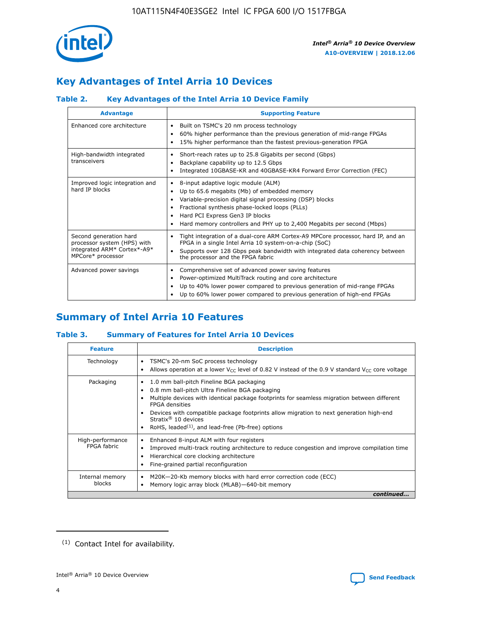

# **Key Advantages of Intel Arria 10 Devices**

# **Table 2. Key Advantages of the Intel Arria 10 Device Family**

| <b>Advantage</b>                                                                                          | <b>Supporting Feature</b>                                                                                                                                                                                                                                                                                                     |
|-----------------------------------------------------------------------------------------------------------|-------------------------------------------------------------------------------------------------------------------------------------------------------------------------------------------------------------------------------------------------------------------------------------------------------------------------------|
| Enhanced core architecture                                                                                | Built on TSMC's 20 nm process technology<br>٠<br>60% higher performance than the previous generation of mid-range FPGAs<br>٠<br>15% higher performance than the fastest previous-generation FPGA<br>٠                                                                                                                         |
| High-bandwidth integrated<br>transceivers                                                                 | Short-reach rates up to 25.8 Gigabits per second (Gbps)<br>٠<br>Backplane capability up to 12.5 Gbps<br>٠<br>Integrated 10GBASE-KR and 40GBASE-KR4 Forward Error Correction (FEC)<br>٠                                                                                                                                        |
| Improved logic integration and<br>hard IP blocks                                                          | 8-input adaptive logic module (ALM)<br>٠<br>Up to 65.6 megabits (Mb) of embedded memory<br>٠<br>Variable-precision digital signal processing (DSP) blocks<br>Fractional synthesis phase-locked loops (PLLs)<br>٠<br>Hard PCI Express Gen3 IP blocks<br>Hard memory controllers and PHY up to 2,400 Megabits per second (Mbps) |
| Second generation hard<br>processor system (HPS) with<br>integrated ARM* Cortex*-A9*<br>MPCore* processor | Tight integration of a dual-core ARM Cortex-A9 MPCore processor, hard IP, and an<br>٠<br>FPGA in a single Intel Arria 10 system-on-a-chip (SoC)<br>Supports over 128 Gbps peak bandwidth with integrated data coherency between<br>$\bullet$<br>the processor and the FPGA fabric                                             |
| Advanced power savings                                                                                    | Comprehensive set of advanced power saving features<br>٠<br>Power-optimized MultiTrack routing and core architecture<br>٠<br>Up to 40% lower power compared to previous generation of mid-range FPGAs<br>٠<br>Up to 60% lower power compared to previous generation of high-end FPGAs                                         |

# **Summary of Intel Arria 10 Features**

## **Table 3. Summary of Features for Intel Arria 10 Devices**

| <b>Feature</b>                  | <b>Description</b>                                                                                                                                                                                                                                                                                                                                                                                       |
|---------------------------------|----------------------------------------------------------------------------------------------------------------------------------------------------------------------------------------------------------------------------------------------------------------------------------------------------------------------------------------------------------------------------------------------------------|
| Technology                      | TSMC's 20-nm SoC process technology<br>٠<br>Allows operation at a lower $V_{\text{CC}}$ level of 0.82 V instead of the 0.9 V standard $V_{\text{CC}}$ core voltage                                                                                                                                                                                                                                       |
| Packaging                       | 1.0 mm ball-pitch Fineline BGA packaging<br>0.8 mm ball-pitch Ultra Fineline BGA packaging<br>Multiple devices with identical package footprints for seamless migration between different<br><b>FPGA</b> densities<br>Devices with compatible package footprints allow migration to next generation high-end<br>Stratix $\mathcal{R}$ 10 devices<br>RoHS, leaded $(1)$ , and lead-free (Pb-free) options |
| High-performance<br>FPGA fabric | Enhanced 8-input ALM with four registers<br>٠<br>Improved multi-track routing architecture to reduce congestion and improve compilation time<br>Hierarchical core clocking architecture<br>Fine-grained partial reconfiguration                                                                                                                                                                          |
| Internal memory<br>blocks       | M20K-20-Kb memory blocks with hard error correction code (ECC)<br>Memory logic array block (MLAB)-640-bit memory                                                                                                                                                                                                                                                                                         |
|                                 | continued                                                                                                                                                                                                                                                                                                                                                                                                |



<sup>(1)</sup> Contact Intel for availability.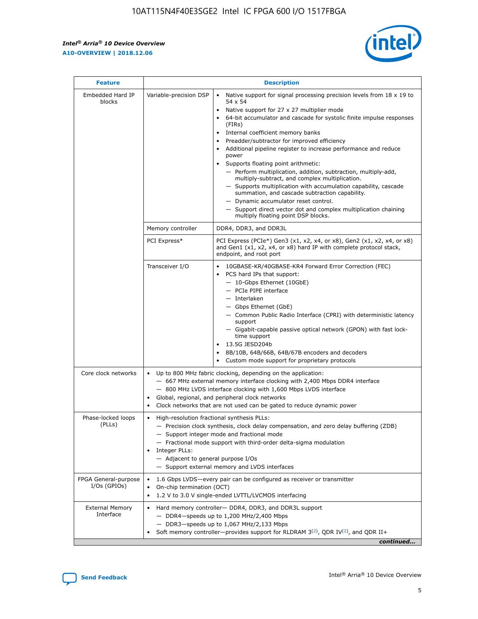$\mathsf{r}$ 



| <b>Feature</b>                         |                                                                                                                | <b>Description</b>                                                                                                                                                                                                                                                                                                                                                                                                                                                                                                                                                                                                                                                                                                                                                                                                                          |
|----------------------------------------|----------------------------------------------------------------------------------------------------------------|---------------------------------------------------------------------------------------------------------------------------------------------------------------------------------------------------------------------------------------------------------------------------------------------------------------------------------------------------------------------------------------------------------------------------------------------------------------------------------------------------------------------------------------------------------------------------------------------------------------------------------------------------------------------------------------------------------------------------------------------------------------------------------------------------------------------------------------------|
| Embedded Hard IP<br>blocks             | Variable-precision DSP                                                                                         | Native support for signal processing precision levels from $18 \times 19$ to<br>$\bullet$<br>54 x 54<br>Native support for 27 x 27 multiplier mode<br>64-bit accumulator and cascade for systolic finite impulse responses<br>(FIRs)<br>Internal coefficient memory banks<br>٠<br>Preadder/subtractor for improved efficiency<br>Additional pipeline register to increase performance and reduce<br>power<br>Supports floating point arithmetic:<br>- Perform multiplication, addition, subtraction, multiply-add,<br>multiply-subtract, and complex multiplication.<br>- Supports multiplication with accumulation capability, cascade<br>summation, and cascade subtraction capability.<br>- Dynamic accumulator reset control.<br>- Support direct vector dot and complex multiplication chaining<br>multiply floating point DSP blocks. |
|                                        | Memory controller                                                                                              | DDR4, DDR3, and DDR3L                                                                                                                                                                                                                                                                                                                                                                                                                                                                                                                                                                                                                                                                                                                                                                                                                       |
|                                        | PCI Express*                                                                                                   | PCI Express (PCIe*) Gen3 (x1, x2, x4, or x8), Gen2 (x1, x2, x4, or x8)<br>and Gen1 (x1, x2, x4, or x8) hard IP with complete protocol stack,<br>endpoint, and root port                                                                                                                                                                                                                                                                                                                                                                                                                                                                                                                                                                                                                                                                     |
|                                        | Transceiver I/O                                                                                                | 10GBASE-KR/40GBASE-KR4 Forward Error Correction (FEC)<br>PCS hard IPs that support:<br>- 10-Gbps Ethernet (10GbE)<br>- PCIe PIPE interface<br>- Interlaken<br>- Gbps Ethernet (GbE)<br>- Common Public Radio Interface (CPRI) with deterministic latency<br>support<br>- Gigabit-capable passive optical network (GPON) with fast lock-<br>time support<br>13.5G JESD204b<br>$\bullet$<br>8B/10B, 64B/66B, 64B/67B encoders and decoders<br>Custom mode support for proprietary protocols                                                                                                                                                                                                                                                                                                                                                   |
| Core clock networks                    | $\bullet$<br>$\bullet$                                                                                         | Up to 800 MHz fabric clocking, depending on the application:<br>- 667 MHz external memory interface clocking with 2,400 Mbps DDR4 interface<br>- 800 MHz LVDS interface clocking with 1,600 Mbps LVDS interface<br>Global, regional, and peripheral clock networks<br>Clock networks that are not used can be gated to reduce dynamic power                                                                                                                                                                                                                                                                                                                                                                                                                                                                                                 |
| Phase-locked loops<br>(PLLs)           | High-resolution fractional synthesis PLLs:<br>$\bullet$<br>Integer PLLs:<br>- Adjacent to general purpose I/Os | - Precision clock synthesis, clock delay compensation, and zero delay buffering (ZDB)<br>- Support integer mode and fractional mode<br>- Fractional mode support with third-order delta-sigma modulation<br>- Support external memory and LVDS interfaces                                                                                                                                                                                                                                                                                                                                                                                                                                                                                                                                                                                   |
| FPGA General-purpose<br>$I/Os$ (GPIOs) | On-chip termination (OCT)<br>$\bullet$                                                                         | 1.6 Gbps LVDS-every pair can be configured as receiver or transmitter<br>1.2 V to 3.0 V single-ended LVTTL/LVCMOS interfacing                                                                                                                                                                                                                                                                                                                                                                                                                                                                                                                                                                                                                                                                                                               |
| <b>External Memory</b><br>Interface    |                                                                                                                | Hard memory controller- DDR4, DDR3, and DDR3L support<br>$-$ DDR4 $-$ speeds up to 1,200 MHz/2,400 Mbps<br>- DDR3-speeds up to 1,067 MHz/2,133 Mbps<br>Soft memory controller—provides support for RLDRAM $3^{(2)}$ , QDR IV $(2^2)$ , and QDR II+<br>continued                                                                                                                                                                                                                                                                                                                                                                                                                                                                                                                                                                             |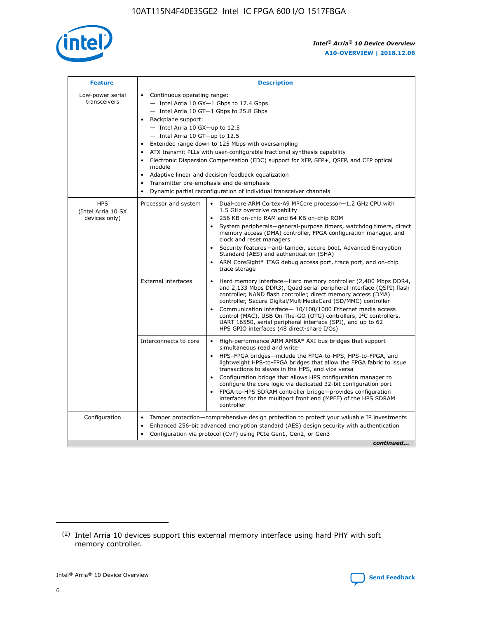

| <b>Feature</b>                                    | <b>Description</b>                                                                                                                                                                                                                                                                                                                                                                                                                                                                                                                                                                                                                                  |
|---------------------------------------------------|-----------------------------------------------------------------------------------------------------------------------------------------------------------------------------------------------------------------------------------------------------------------------------------------------------------------------------------------------------------------------------------------------------------------------------------------------------------------------------------------------------------------------------------------------------------------------------------------------------------------------------------------------------|
| Low-power serial<br>transceivers                  | • Continuous operating range:<br>- Intel Arria 10 GX-1 Gbps to 17.4 Gbps<br>- Intel Arria 10 GT-1 Gbps to 25.8 Gbps<br>Backplane support:<br>- Intel Arria 10 GX-up to 12.5<br>- Intel Arria 10 GT-up to 12.5<br>Extended range down to 125 Mbps with oversampling<br>ATX transmit PLLs with user-configurable fractional synthesis capability<br>Electronic Dispersion Compensation (EDC) support for XFP, SFP+, QSFP, and CFP optical<br>module<br>Adaptive linear and decision feedback equalization<br>$\bullet$<br>Transmitter pre-emphasis and de-emphasis<br>$\bullet$<br>Dynamic partial reconfiguration of individual transceiver channels |
| <b>HPS</b><br>(Intel Arria 10 SX<br>devices only) | Dual-core ARM Cortex-A9 MPCore processor-1.2 GHz CPU with<br>Processor and system<br>$\bullet$<br>1.5 GHz overdrive capability<br>256 KB on-chip RAM and 64 KB on-chip ROM<br>System peripherals—general-purpose timers, watchdog timers, direct<br>memory access (DMA) controller, FPGA configuration manager, and<br>clock and reset managers<br>Security features-anti-tamper, secure boot, Advanced Encryption<br>Standard (AES) and authentication (SHA)<br>ARM CoreSight* JTAG debug access port, trace port, and on-chip<br>trace storage                                                                                                    |
|                                                   | <b>External interfaces</b><br>Hard memory interface-Hard memory controller (2,400 Mbps DDR4,<br>$\bullet$<br>and 2,133 Mbps DDR3), Quad serial peripheral interface (QSPI) flash<br>controller, NAND flash controller, direct memory access (DMA)<br>controller, Secure Digital/MultiMediaCard (SD/MMC) controller<br>Communication interface-10/100/1000 Ethernet media access<br>control (MAC), USB On-The-GO (OTG) controllers, I <sup>2</sup> C controllers,<br>UART 16550, serial peripheral interface (SPI), and up to 62<br>HPS GPIO interfaces (48 direct-share I/Os)                                                                       |
|                                                   | High-performance ARM AMBA* AXI bus bridges that support<br>Interconnects to core<br>$\bullet$<br>simultaneous read and write<br>HPS-FPGA bridges-include the FPGA-to-HPS, HPS-to-FPGA, and<br>$\bullet$<br>lightweight HPS-to-FPGA bridges that allow the FPGA fabric to issue<br>transactions to slaves in the HPS, and vice versa<br>Configuration bridge that allows HPS configuration manager to<br>configure the core logic via dedicated 32-bit configuration port<br>FPGA-to-HPS SDRAM controller bridge-provides configuration<br>interfaces for the multiport front end (MPFE) of the HPS SDRAM<br>controller                              |
| Configuration                                     | Tamper protection—comprehensive design protection to protect your valuable IP investments<br>Enhanced 256-bit advanced encryption standard (AES) design security with authentication<br>٠<br>Configuration via protocol (CvP) using PCIe Gen1, Gen2, or Gen3<br>continued                                                                                                                                                                                                                                                                                                                                                                           |

<sup>(2)</sup> Intel Arria 10 devices support this external memory interface using hard PHY with soft memory controller.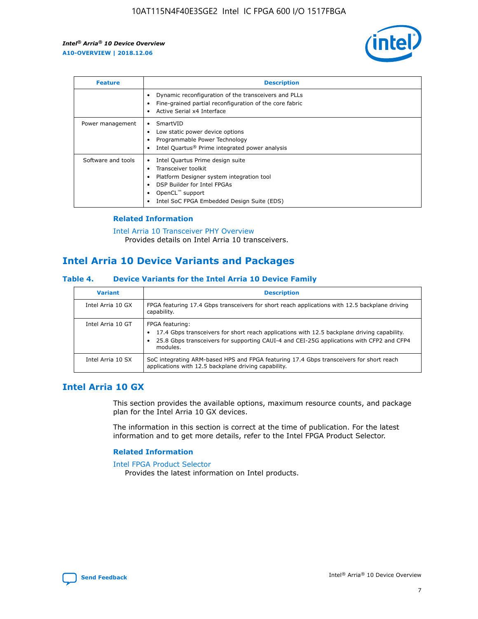

| <b>Feature</b>     | <b>Description</b>                                                                                                                                                                                               |
|--------------------|------------------------------------------------------------------------------------------------------------------------------------------------------------------------------------------------------------------|
|                    | Dynamic reconfiguration of the transceivers and PLLs<br>Fine-grained partial reconfiguration of the core fabric<br>Active Serial x4 Interface<br>$\bullet$                                                       |
| Power management   | SmartVID<br>Low static power device options<br>Programmable Power Technology<br>Intel Quartus <sup>®</sup> Prime integrated power analysis                                                                       |
| Software and tools | Intel Quartus Prime design suite<br>Transceiver toolkit<br>Platform Designer system integration tool<br>DSP Builder for Intel FPGAs<br>OpenCL <sup>™</sup> support<br>Intel SoC FPGA Embedded Design Suite (EDS) |

## **Related Information**

[Intel Arria 10 Transceiver PHY Overview](https://www.intel.com/content/www/us/en/programmable/documentation/nik1398707230472.html#nik1398706768037) Provides details on Intel Arria 10 transceivers.

# **Intel Arria 10 Device Variants and Packages**

#### **Table 4. Device Variants for the Intel Arria 10 Device Family**

| <b>Variant</b>    | <b>Description</b>                                                                                                                                                                                                     |
|-------------------|------------------------------------------------------------------------------------------------------------------------------------------------------------------------------------------------------------------------|
| Intel Arria 10 GX | FPGA featuring 17.4 Gbps transceivers for short reach applications with 12.5 backplane driving<br>capability.                                                                                                          |
| Intel Arria 10 GT | FPGA featuring:<br>17.4 Gbps transceivers for short reach applications with 12.5 backplane driving capability.<br>25.8 Gbps transceivers for supporting CAUI-4 and CEI-25G applications with CFP2 and CFP4<br>modules. |
| Intel Arria 10 SX | SoC integrating ARM-based HPS and FPGA featuring 17.4 Gbps transceivers for short reach<br>applications with 12.5 backplane driving capability.                                                                        |

# **Intel Arria 10 GX**

This section provides the available options, maximum resource counts, and package plan for the Intel Arria 10 GX devices.

The information in this section is correct at the time of publication. For the latest information and to get more details, refer to the Intel FPGA Product Selector.

#### **Related Information**

#### [Intel FPGA Product Selector](http://www.altera.com/products/selector/psg-selector.html) Provides the latest information on Intel products.

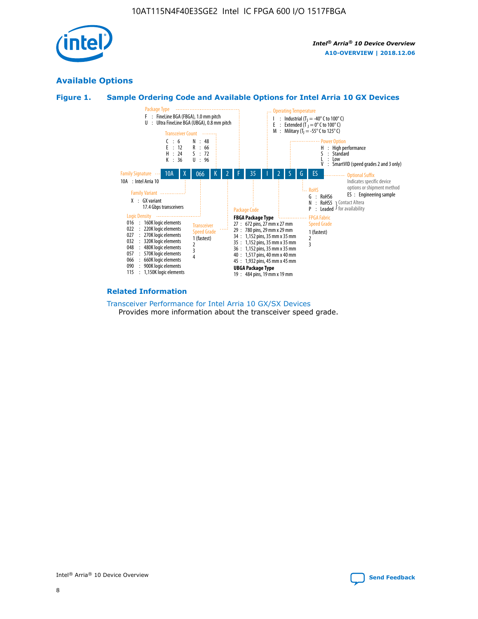

# **Available Options**





#### **Related Information**

[Transceiver Performance for Intel Arria 10 GX/SX Devices](https://www.intel.com/content/www/us/en/programmable/documentation/mcn1413182292568.html#mcn1413213965502) Provides more information about the transceiver speed grade.

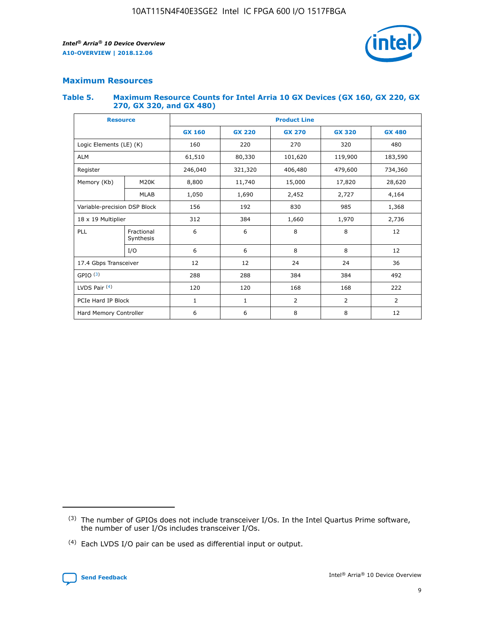

## **Maximum Resources**

#### **Table 5. Maximum Resource Counts for Intel Arria 10 GX Devices (GX 160, GX 220, GX 270, GX 320, and GX 480)**

| <b>Resource</b>              |                         | <b>Product Line</b> |                                                 |                |                |                |  |  |  |
|------------------------------|-------------------------|---------------------|-------------------------------------------------|----------------|----------------|----------------|--|--|--|
|                              |                         | <b>GX 160</b>       | <b>GX 220</b><br><b>GX 270</b><br><b>GX 320</b> |                |                | <b>GX 480</b>  |  |  |  |
| Logic Elements (LE) (K)      |                         | 160                 | 220                                             | 270            | 320            | 480            |  |  |  |
| <b>ALM</b>                   |                         | 61,510              | 80,330                                          | 101,620        | 119,900        | 183,590        |  |  |  |
| Register                     |                         | 246,040             | 406,480<br>479,600<br>321,320                   |                |                | 734,360        |  |  |  |
| Memory (Kb)                  | M <sub>20</sub> K       | 8,800               | 11,740                                          | 15,000         | 17,820         | 28,620         |  |  |  |
|                              | <b>MLAB</b>             | 1,050               | 1,690                                           | 2,452          | 2,727          | 4,164          |  |  |  |
| Variable-precision DSP Block |                         | 156                 | 192                                             | 830            | 985            |                |  |  |  |
| 18 x 19 Multiplier           |                         | 312                 | 384                                             | 1,970<br>1,660 |                | 2,736          |  |  |  |
| PLL                          | Fractional<br>Synthesis | 6                   | 6                                               | 8              | 8              | 12             |  |  |  |
|                              | I/O                     | 6                   | 6                                               | 8              | 8              | 12             |  |  |  |
| 17.4 Gbps Transceiver        |                         | 12                  | 12                                              | 24             | 24             | 36             |  |  |  |
| GPIO <sup>(3)</sup>          |                         | 288                 | 288                                             | 384<br>384     |                | 492            |  |  |  |
| LVDS Pair $(4)$              |                         | 120                 | 120                                             | 168            | 168            | 222            |  |  |  |
| PCIe Hard IP Block           |                         | 1                   | 1                                               | 2              | $\overline{2}$ | $\overline{2}$ |  |  |  |
| Hard Memory Controller       |                         | 6                   | 6                                               | 8              | 8              | 12             |  |  |  |

<sup>(4)</sup> Each LVDS I/O pair can be used as differential input or output.



<sup>(3)</sup> The number of GPIOs does not include transceiver I/Os. In the Intel Quartus Prime software, the number of user I/Os includes transceiver I/Os.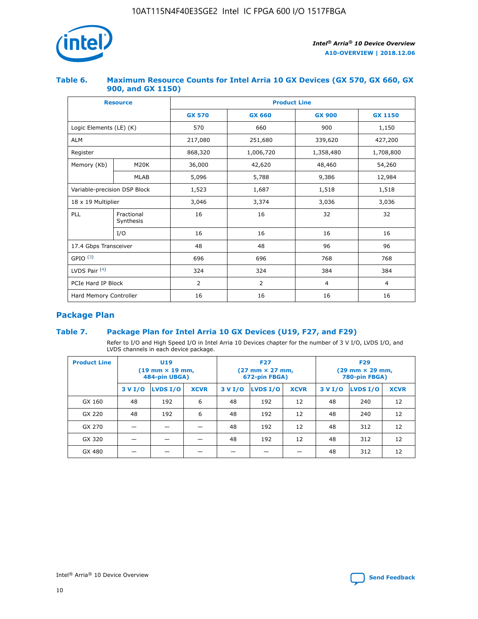

## **Table 6. Maximum Resource Counts for Intel Arria 10 GX Devices (GX 570, GX 660, GX 900, and GX 1150)**

|                              | <b>Resource</b>         | <b>Product Line</b> |                |                |                |  |  |  |
|------------------------------|-------------------------|---------------------|----------------|----------------|----------------|--|--|--|
|                              |                         | <b>GX 570</b>       | <b>GX 660</b>  | <b>GX 900</b>  | <b>GX 1150</b> |  |  |  |
| Logic Elements (LE) (K)      |                         | 570                 | 660            | 900            | 1,150          |  |  |  |
| <b>ALM</b>                   |                         | 217,080             | 251,680        | 339,620        | 427,200        |  |  |  |
| Register                     |                         | 868,320             | 1,006,720      |                | 1,708,800      |  |  |  |
| Memory (Kb)                  | M <sub>20</sub> K       | 36,000              | 42,620         | 48,460         | 54,260         |  |  |  |
|                              | <b>MLAB</b>             | 5,096               | 5,788          | 9,386          | 12,984         |  |  |  |
| Variable-precision DSP Block |                         | 1,523               | 1,687          | 1,518          | 1,518          |  |  |  |
| 18 x 19 Multiplier           |                         | 3,046               | 3,374<br>3,036 |                | 3,036          |  |  |  |
| PLL                          | Fractional<br>Synthesis | 16                  | 16             | 32             | 32             |  |  |  |
|                              | I/O                     | 16                  | 16             | 16             | 16             |  |  |  |
| 17.4 Gbps Transceiver        |                         | 48                  | 96<br>48       |                | 96             |  |  |  |
| GPIO <sup>(3)</sup>          |                         | 696                 | 696            | 768            | 768            |  |  |  |
| LVDS Pair $(4)$              |                         | 324                 | 324            | 384            | 384            |  |  |  |
| PCIe Hard IP Block           |                         | $\overline{2}$      | 2              | $\overline{4}$ | 4              |  |  |  |
| Hard Memory Controller       |                         | 16                  | 16             | 16             | 16             |  |  |  |

# **Package Plan**

## **Table 7. Package Plan for Intel Arria 10 GX Devices (U19, F27, and F29)**

Refer to I/O and High Speed I/O in Intel Arria 10 Devices chapter for the number of 3 V I/O, LVDS I/O, and LVDS channels in each device package.

| <b>Product Line</b> | U <sub>19</sub><br>$(19 \text{ mm} \times 19 \text{ mm})$<br>484-pin UBGA) |          |             |         | <b>F27</b><br>(27 mm × 27 mm,<br>672-pin FBGA) |             | <b>F29</b><br>(29 mm × 29 mm,<br>780-pin FBGA) |          |             |  |
|---------------------|----------------------------------------------------------------------------|----------|-------------|---------|------------------------------------------------|-------------|------------------------------------------------|----------|-------------|--|
|                     | 3 V I/O                                                                    | LVDS I/O | <b>XCVR</b> | 3 V I/O | LVDS I/O                                       | <b>XCVR</b> | 3 V I/O                                        | LVDS I/O | <b>XCVR</b> |  |
| GX 160              | 48                                                                         | 192      | 6           | 48      | 192                                            | 12          | 48                                             | 240      | 12          |  |
| GX 220              | 48                                                                         | 192      | 6           | 48      | 192                                            | 12          | 48                                             | 240      | 12          |  |
| GX 270              |                                                                            |          |             | 48      | 192                                            | 12          | 48                                             | 312      | 12          |  |
| GX 320              |                                                                            |          |             | 48      | 192                                            | 12          | 48                                             | 312      | 12          |  |
| GX 480              |                                                                            |          |             |         |                                                |             | 48                                             | 312      | 12          |  |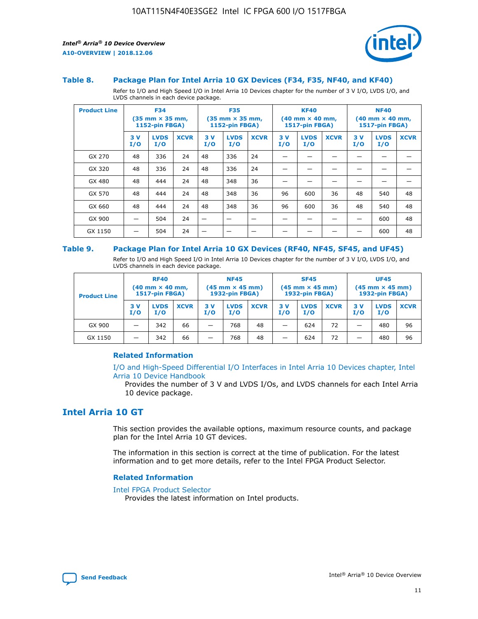

#### **Table 8. Package Plan for Intel Arria 10 GX Devices (F34, F35, NF40, and KF40)**

Refer to I/O and High Speed I/O in Intel Arria 10 Devices chapter for the number of 3 V I/O, LVDS I/O, and LVDS channels in each device package.

| <b>Product Line</b> | <b>F34</b><br>$(35 \text{ mm} \times 35 \text{ mm})$<br>1152-pin FBGA) |                    | <b>F35</b><br>$(35$ mm $\times$ 35 mm,<br><b>1152-pin FBGA)</b> |           | <b>KF40</b><br>$(40$ mm $\times$ 40 mm,<br>1517-pin FBGA) |             |           | <b>NF40</b><br>$(40$ mm $\times$ 40 mm,<br><b>1517-pin FBGA)</b> |             |            |                    |             |
|---------------------|------------------------------------------------------------------------|--------------------|-----------------------------------------------------------------|-----------|-----------------------------------------------------------|-------------|-----------|------------------------------------------------------------------|-------------|------------|--------------------|-------------|
|                     | 3V<br>I/O                                                              | <b>LVDS</b><br>I/O | <b>XCVR</b>                                                     | 3V<br>I/O | <b>LVDS</b><br>I/O                                        | <b>XCVR</b> | 3V<br>I/O | <b>LVDS</b><br>I/O                                               | <b>XCVR</b> | 3 V<br>I/O | <b>LVDS</b><br>I/O | <b>XCVR</b> |
| GX 270              | 48                                                                     | 336                | 24                                                              | 48        | 336                                                       | 24          |           |                                                                  |             |            |                    |             |
| GX 320              | 48                                                                     | 336                | 24                                                              | 48        | 336                                                       | 24          |           |                                                                  |             |            |                    |             |
| GX 480              | 48                                                                     | 444                | 24                                                              | 48        | 348                                                       | 36          |           |                                                                  |             |            |                    |             |
| GX 570              | 48                                                                     | 444                | 24                                                              | 48        | 348                                                       | 36          | 96        | 600                                                              | 36          | 48         | 540                | 48          |
| GX 660              | 48                                                                     | 444                | 24                                                              | 48        | 348                                                       | 36          | 96        | 600                                                              | 36          | 48         | 540                | 48          |
| GX 900              |                                                                        | 504                | 24                                                              | –         |                                                           | -           |           |                                                                  |             |            | 600                | 48          |
| GX 1150             |                                                                        | 504                | 24                                                              |           |                                                           |             |           |                                                                  |             |            | 600                | 48          |

#### **Table 9. Package Plan for Intel Arria 10 GX Devices (RF40, NF45, SF45, and UF45)**

Refer to I/O and High Speed I/O in Intel Arria 10 Devices chapter for the number of 3 V I/O, LVDS I/O, and LVDS channels in each device package.

| <b>Product Line</b> | <b>RF40</b><br>$(40$ mm $\times$ 40 mm,<br>1517-pin FBGA) |                    |             | <b>NF45</b><br>$(45 \text{ mm} \times 45 \text{ mm})$<br><b>1932-pin FBGA)</b> |                    |             | <b>SF45</b><br>$(45 \text{ mm} \times 45 \text{ mm})$<br><b>1932-pin FBGA)</b> |                    |             | <b>UF45</b><br>$(45 \text{ mm} \times 45 \text{ mm})$<br><b>1932-pin FBGA)</b> |                    |             |
|---------------------|-----------------------------------------------------------|--------------------|-------------|--------------------------------------------------------------------------------|--------------------|-------------|--------------------------------------------------------------------------------|--------------------|-------------|--------------------------------------------------------------------------------|--------------------|-------------|
|                     | 3V<br>I/O                                                 | <b>LVDS</b><br>I/O | <b>XCVR</b> | 3 V<br>I/O                                                                     | <b>LVDS</b><br>I/O | <b>XCVR</b> | 3 V<br>I/O                                                                     | <b>LVDS</b><br>I/O | <b>XCVR</b> | 3V<br>I/O                                                                      | <b>LVDS</b><br>I/O | <b>XCVR</b> |
| GX 900              |                                                           | 342                | 66          | _                                                                              | 768                | 48          |                                                                                | 624                | 72          |                                                                                | 480                | 96          |
| GX 1150             |                                                           | 342                | 66          | _                                                                              | 768                | 48          |                                                                                | 624                | 72          |                                                                                | 480                | 96          |

## **Related Information**

[I/O and High-Speed Differential I/O Interfaces in Intel Arria 10 Devices chapter, Intel](https://www.intel.com/content/www/us/en/programmable/documentation/sam1403482614086.html#sam1403482030321) [Arria 10 Device Handbook](https://www.intel.com/content/www/us/en/programmable/documentation/sam1403482614086.html#sam1403482030321)

Provides the number of 3 V and LVDS I/Os, and LVDS channels for each Intel Arria 10 device package.

# **Intel Arria 10 GT**

This section provides the available options, maximum resource counts, and package plan for the Intel Arria 10 GT devices.

The information in this section is correct at the time of publication. For the latest information and to get more details, refer to the Intel FPGA Product Selector.

#### **Related Information**

#### [Intel FPGA Product Selector](http://www.altera.com/products/selector/psg-selector.html)

Provides the latest information on Intel products.

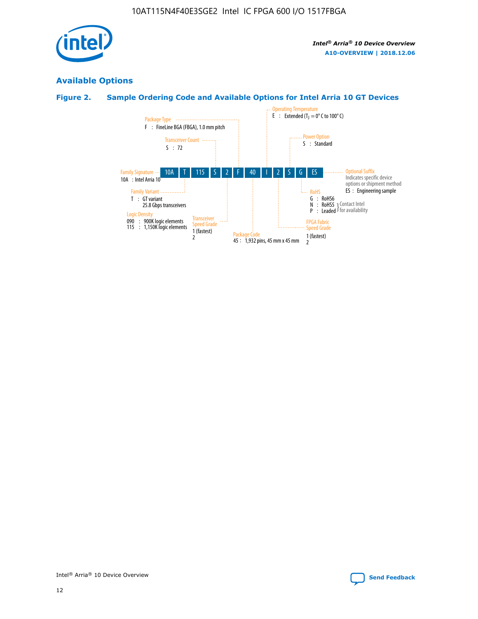

# **Available Options**

# **Figure 2. Sample Ordering Code and Available Options for Intel Arria 10 GT Devices**

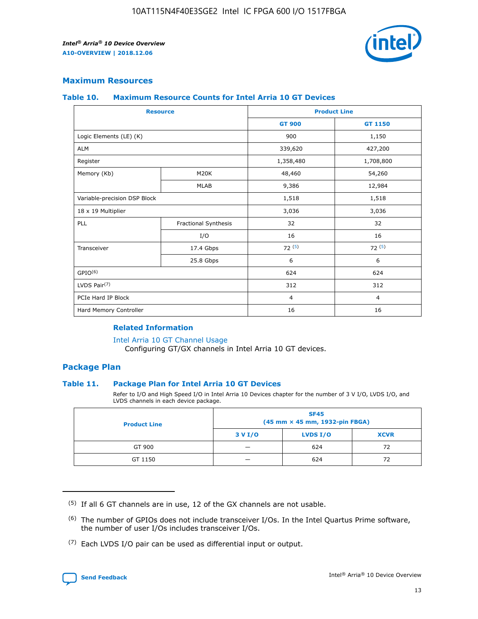

## **Maximum Resources**

#### **Table 10. Maximum Resource Counts for Intel Arria 10 GT Devices**

| <b>Resource</b>              |                      |                | <b>Product Line</b> |  |
|------------------------------|----------------------|----------------|---------------------|--|
|                              |                      | <b>GT 900</b>  | GT 1150             |  |
| Logic Elements (LE) (K)      |                      | 900            | 1,150               |  |
| <b>ALM</b>                   |                      | 339,620        | 427,200             |  |
| Register                     |                      | 1,358,480      | 1,708,800           |  |
| Memory (Kb)                  | M <sub>20</sub> K    | 48,460         | 54,260              |  |
|                              | <b>MLAB</b>          | 9,386          | 12,984              |  |
| Variable-precision DSP Block |                      | 1,518          | 1,518               |  |
| 18 x 19 Multiplier           |                      | 3,036          | 3,036               |  |
| PLL                          | Fractional Synthesis | 32             | 32                  |  |
|                              | I/O                  | 16             | 16                  |  |
| Transceiver                  | 17.4 Gbps            | 72(5)          | 72(5)               |  |
|                              | 25.8 Gbps            | 6              | 6                   |  |
| GPIO <sup>(6)</sup>          |                      | 624            | 624                 |  |
| LVDS Pair $(7)$              |                      | 312            | 312                 |  |
| PCIe Hard IP Block           |                      | $\overline{4}$ | $\overline{4}$      |  |
| Hard Memory Controller       |                      | 16             | 16                  |  |

#### **Related Information**

#### [Intel Arria 10 GT Channel Usage](https://www.intel.com/content/www/us/en/programmable/documentation/nik1398707230472.html#nik1398707008178)

Configuring GT/GX channels in Intel Arria 10 GT devices.

## **Package Plan**

### **Table 11. Package Plan for Intel Arria 10 GT Devices**

Refer to I/O and High Speed I/O in Intel Arria 10 Devices chapter for the number of 3 V I/O, LVDS I/O, and LVDS channels in each device package.

| <b>Product Line</b> | <b>SF45</b><br>(45 mm × 45 mm, 1932-pin FBGA) |                 |             |  |  |  |
|---------------------|-----------------------------------------------|-----------------|-------------|--|--|--|
|                     | 3 V I/O                                       | <b>LVDS I/O</b> | <b>XCVR</b> |  |  |  |
| GT 900              |                                               | 624             | 72          |  |  |  |
| GT 1150             |                                               | 624             | 72          |  |  |  |

<sup>(7)</sup> Each LVDS I/O pair can be used as differential input or output.



 $(5)$  If all 6 GT channels are in use, 12 of the GX channels are not usable.

<sup>(6)</sup> The number of GPIOs does not include transceiver I/Os. In the Intel Quartus Prime software, the number of user I/Os includes transceiver I/Os.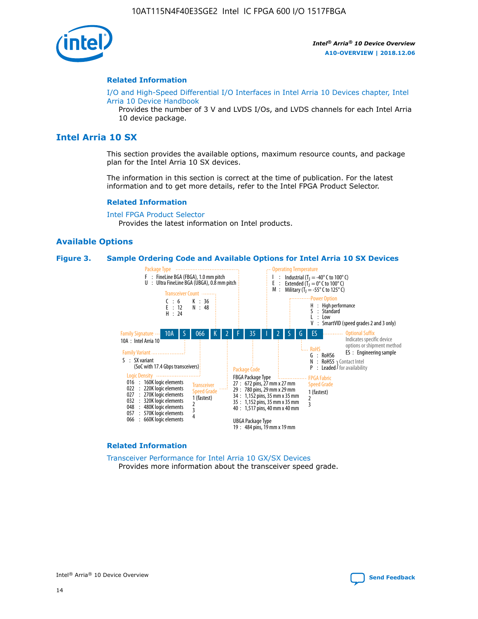

#### **Related Information**

[I/O and High-Speed Differential I/O Interfaces in Intel Arria 10 Devices chapter, Intel](https://www.intel.com/content/www/us/en/programmable/documentation/sam1403482614086.html#sam1403482030321) [Arria 10 Device Handbook](https://www.intel.com/content/www/us/en/programmable/documentation/sam1403482614086.html#sam1403482030321)

Provides the number of 3 V and LVDS I/Os, and LVDS channels for each Intel Arria 10 device package.

# **Intel Arria 10 SX**

This section provides the available options, maximum resource counts, and package plan for the Intel Arria 10 SX devices.

The information in this section is correct at the time of publication. For the latest information and to get more details, refer to the Intel FPGA Product Selector.

#### **Related Information**

[Intel FPGA Product Selector](http://www.altera.com/products/selector/psg-selector.html) Provides the latest information on Intel products.

### **Available Options**

#### **Figure 3. Sample Ordering Code and Available Options for Intel Arria 10 SX Devices**



#### **Related Information**

[Transceiver Performance for Intel Arria 10 GX/SX Devices](https://www.intel.com/content/www/us/en/programmable/documentation/mcn1413182292568.html#mcn1413213965502) Provides more information about the transceiver speed grade.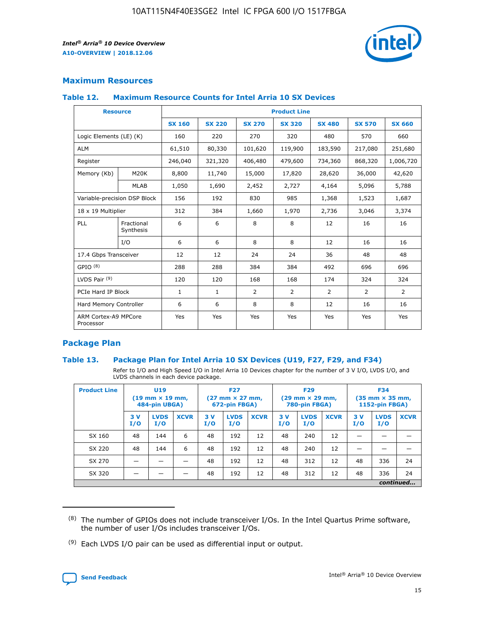

## **Maximum Resources**

#### **Table 12. Maximum Resource Counts for Intel Arria 10 SX Devices**

|                                   | <b>Resource</b>         | <b>Product Line</b> |               |                |                |                |                |                |  |  |  |
|-----------------------------------|-------------------------|---------------------|---------------|----------------|----------------|----------------|----------------|----------------|--|--|--|
|                                   |                         | <b>SX 160</b>       | <b>SX 220</b> | <b>SX 270</b>  | <b>SX 320</b>  | <b>SX 480</b>  | <b>SX 570</b>  | <b>SX 660</b>  |  |  |  |
| Logic Elements (LE) (K)           |                         | 160                 | 220           | 270            | 320            | 480            | 570            | 660            |  |  |  |
| <b>ALM</b>                        |                         | 61,510              | 80,330        | 101,620        | 119,900        | 183,590        | 217,080        | 251,680        |  |  |  |
| Register                          |                         | 246,040             | 321,320       | 406,480        | 479,600        | 734,360        | 868,320        | 1,006,720      |  |  |  |
| Memory (Kb)                       | M <sub>20</sub> K       | 8,800               | 11,740        | 15,000         | 17,820         | 28,620         | 36,000         | 42,620         |  |  |  |
|                                   | <b>MLAB</b>             | 1,050               | 1,690         | 2,452          | 2,727          | 4,164          | 5,096          | 5,788          |  |  |  |
| Variable-precision DSP Block      |                         | 156                 | 192           | 830            | 985            | 1,368          | 1,523          | 1,687          |  |  |  |
| 18 x 19 Multiplier                |                         | 312                 | 384           | 1,660          | 1,970          | 2,736          | 3,046          | 3,374          |  |  |  |
| <b>PLL</b>                        | Fractional<br>Synthesis | 6                   | 6             | 8              | 8              | 12             | 16             | 16             |  |  |  |
|                                   | I/O                     | 6                   | 6             | 8              | 8              | 12             | 16             | 16             |  |  |  |
| 17.4 Gbps Transceiver             |                         | 12                  | 12            | 24             | 24             | 36             | 48             | 48             |  |  |  |
| GPIO <sup>(8)</sup>               |                         | 288                 | 288           | 384            | 384            | 492            | 696            | 696            |  |  |  |
| LVDS Pair $(9)$                   |                         | 120                 | 120           | 168            | 168            | 174            | 324            | 324            |  |  |  |
| PCIe Hard IP Block                |                         | $\mathbf{1}$        | $\mathbf{1}$  | $\overline{2}$ | $\overline{2}$ | $\overline{2}$ | $\overline{2}$ | $\overline{2}$ |  |  |  |
| Hard Memory Controller            |                         | 6                   | 6             | 8              | 8              | 12             | 16             | 16             |  |  |  |
| ARM Cortex-A9 MPCore<br>Processor |                         | Yes                 | Yes           | Yes            | Yes            | Yes            | Yes            | Yes            |  |  |  |

## **Package Plan**

### **Table 13. Package Plan for Intel Arria 10 SX Devices (U19, F27, F29, and F34)**

Refer to I/O and High Speed I/O in Intel Arria 10 Devices chapter for the number of 3 V I/O, LVDS I/O, and LVDS channels in each device package.

| <b>Product Line</b> | <b>U19</b><br>$(19 \text{ mm} \times 19 \text{ mm})$<br>484-pin UBGA) |                    |             | <b>F27</b><br>$(27 \text{ mm} \times 27 \text{ mm})$<br>672-pin FBGA) |                    | <b>F29</b><br>$(29 \text{ mm} \times 29 \text{ mm})$<br>780-pin FBGA) |           |                    | <b>F34</b><br>$(35 \text{ mm} \times 35 \text{ mm})$<br><b>1152-pin FBGA)</b> |           |                    |             |
|---------------------|-----------------------------------------------------------------------|--------------------|-------------|-----------------------------------------------------------------------|--------------------|-----------------------------------------------------------------------|-----------|--------------------|-------------------------------------------------------------------------------|-----------|--------------------|-------------|
|                     | 3V<br>I/O                                                             | <b>LVDS</b><br>I/O | <b>XCVR</b> | 3V<br>I/O                                                             | <b>LVDS</b><br>I/O | <b>XCVR</b>                                                           | 3V<br>I/O | <b>LVDS</b><br>I/O | <b>XCVR</b>                                                                   | 3V<br>I/O | <b>LVDS</b><br>I/O | <b>XCVR</b> |
| SX 160              | 48                                                                    | 144                | 6           | 48                                                                    | 192                | 12                                                                    | 48        | 240                | 12                                                                            | -         |                    |             |
| SX 220              | 48                                                                    | 144                | 6           | 48                                                                    | 192                | 12                                                                    | 48        | 240                | 12                                                                            |           |                    |             |
| SX 270              |                                                                       |                    |             | 48                                                                    | 192                | 12                                                                    | 48        | 312                | 12                                                                            | 48        | 336                | 24          |
| SX 320              |                                                                       |                    |             | 48                                                                    | 192                | 12                                                                    | 48        | 312                | 12                                                                            | 48        | 336                | 24          |
|                     | continued                                                             |                    |             |                                                                       |                    |                                                                       |           |                    |                                                                               |           |                    |             |

 $(8)$  The number of GPIOs does not include transceiver I/Os. In the Intel Quartus Prime software, the number of user I/Os includes transceiver I/Os.

 $(9)$  Each LVDS I/O pair can be used as differential input or output.

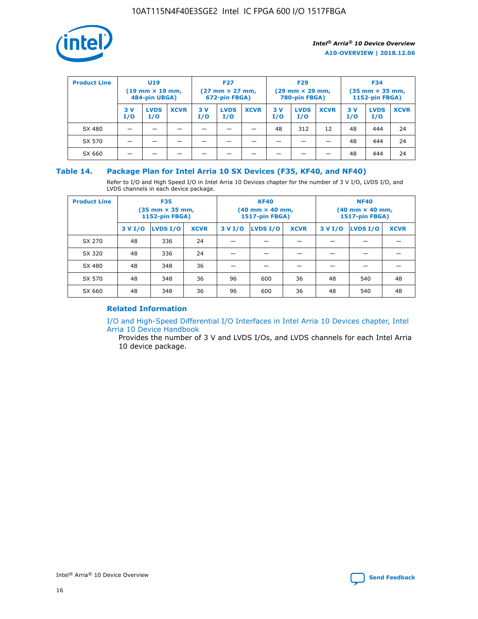

| <b>Product Line</b> | U <sub>19</sub><br>$(19 \text{ mm} \times 19 \text{ mm})$<br>484-pin UBGA) |                    | <b>F27</b><br>$(27 \text{ mm} \times 27 \text{ mm})$<br>672-pin FBGA) |           | <b>F29</b><br>$(29 \text{ mm} \times 29 \text{ mm})$<br>780-pin FBGA) |             |           | <b>F34</b><br>$(35$ mm $\times$ 35 mm,<br><b>1152-pin FBGA)</b> |             |           |                    |             |
|---------------------|----------------------------------------------------------------------------|--------------------|-----------------------------------------------------------------------|-----------|-----------------------------------------------------------------------|-------------|-----------|-----------------------------------------------------------------|-------------|-----------|--------------------|-------------|
|                     | 3V<br>I/O                                                                  | <b>LVDS</b><br>I/O | <b>XCVR</b>                                                           | 3V<br>I/O | <b>LVDS</b><br>I/O                                                    | <b>XCVR</b> | 3V<br>I/O | <b>LVDS</b><br>I/O                                              | <b>XCVR</b> | 3V<br>I/O | <b>LVDS</b><br>I/O | <b>XCVR</b> |
| SX 480              |                                                                            |                    |                                                                       |           |                                                                       |             | 48        | 312                                                             | 12          | 48        | 444                | 24          |
| SX 570              |                                                                            |                    |                                                                       |           |                                                                       |             |           |                                                                 |             | 48        | 444                | 24          |
| SX 660              |                                                                            |                    |                                                                       |           |                                                                       |             |           |                                                                 |             | 48        | 444                | 24          |

## **Table 14. Package Plan for Intel Arria 10 SX Devices (F35, KF40, and NF40)**

Refer to I/O and High Speed I/O in Intel Arria 10 Devices chapter for the number of 3 V I/O, LVDS I/O, and LVDS channels in each device package.

| <b>Product Line</b> | <b>F35</b><br>$(35 \text{ mm} \times 35 \text{ mm})$<br><b>1152-pin FBGA)</b> |          |             |                                           | <b>KF40</b><br>(40 mm × 40 mm,<br>1517-pin FBGA) |    | <b>NF40</b><br>$(40 \text{ mm} \times 40 \text{ mm})$<br>1517-pin FBGA) |          |             |  |
|---------------------|-------------------------------------------------------------------------------|----------|-------------|-------------------------------------------|--------------------------------------------------|----|-------------------------------------------------------------------------|----------|-------------|--|
|                     | 3 V I/O                                                                       | LVDS I/O | <b>XCVR</b> | <b>LVDS I/O</b><br><b>XCVR</b><br>3 V I/O |                                                  |    | 3 V I/O                                                                 | LVDS I/O | <b>XCVR</b> |  |
| SX 270              | 48                                                                            | 336      | 24          |                                           |                                                  |    |                                                                         |          |             |  |
| SX 320              | 48                                                                            | 336      | 24          |                                           |                                                  |    |                                                                         |          |             |  |
| SX 480              | 48                                                                            | 348      | 36          |                                           |                                                  |    |                                                                         |          |             |  |
| SX 570              | 48                                                                            | 348      | 36          | 96                                        | 600                                              | 36 | 48                                                                      | 540      | 48          |  |
| SX 660              | 48                                                                            | 348      | 36          | 96                                        | 600                                              | 36 | 48                                                                      | 540      | 48          |  |

# **Related Information**

[I/O and High-Speed Differential I/O Interfaces in Intel Arria 10 Devices chapter, Intel](https://www.intel.com/content/www/us/en/programmable/documentation/sam1403482614086.html#sam1403482030321) [Arria 10 Device Handbook](https://www.intel.com/content/www/us/en/programmable/documentation/sam1403482614086.html#sam1403482030321)

Provides the number of 3 V and LVDS I/Os, and LVDS channels for each Intel Arria 10 device package.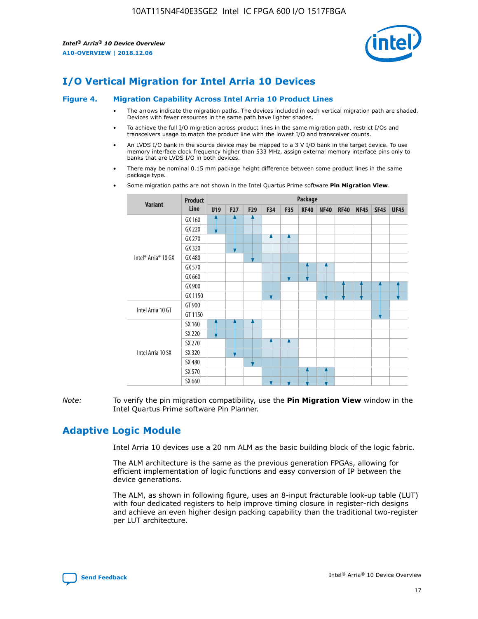

# **I/O Vertical Migration for Intel Arria 10 Devices**

#### **Figure 4. Migration Capability Across Intel Arria 10 Product Lines**

- The arrows indicate the migration paths. The devices included in each vertical migration path are shaded. Devices with fewer resources in the same path have lighter shades.
- To achieve the full I/O migration across product lines in the same migration path, restrict I/Os and transceivers usage to match the product line with the lowest I/O and transceiver counts.
- An LVDS I/O bank in the source device may be mapped to a 3 V I/O bank in the target device. To use memory interface clock frequency higher than 533 MHz, assign external memory interface pins only to banks that are LVDS I/O in both devices.
- There may be nominal 0.15 mm package height difference between some product lines in the same package type.
	- **Variant Product Line Package U19 F27 F29 F34 F35 KF40 NF40 RF40 NF45 SF45 UF45** Intel® Arria® 10 GX GX 160 GX 220 GX 270 GX 320 GX 480 GX 570 GX 660 GX 900 GX 1150 Intel Arria 10 GT GT 900 GT 1150 Intel Arria 10 SX SX 160 SX 220 SX 270 SX 320 SX 480 SX 570 SX 660
- Some migration paths are not shown in the Intel Quartus Prime software **Pin Migration View**.

*Note:* To verify the pin migration compatibility, use the **Pin Migration View** window in the Intel Quartus Prime software Pin Planner.

# **Adaptive Logic Module**

Intel Arria 10 devices use a 20 nm ALM as the basic building block of the logic fabric.

The ALM architecture is the same as the previous generation FPGAs, allowing for efficient implementation of logic functions and easy conversion of IP between the device generations.

The ALM, as shown in following figure, uses an 8-input fracturable look-up table (LUT) with four dedicated registers to help improve timing closure in register-rich designs and achieve an even higher design packing capability than the traditional two-register per LUT architecture.

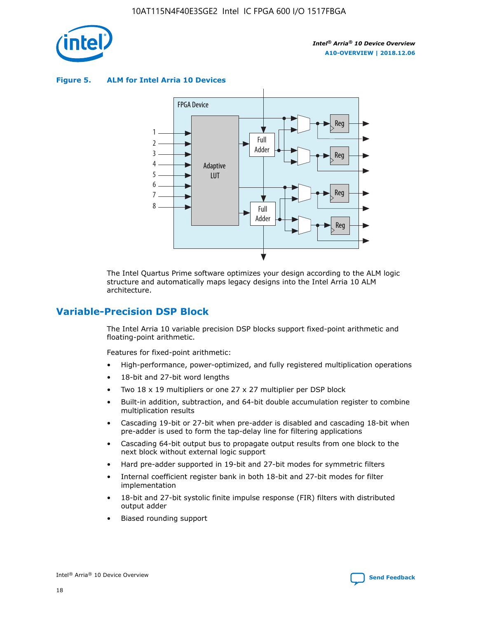

**Figure 5. ALM for Intel Arria 10 Devices**



The Intel Quartus Prime software optimizes your design according to the ALM logic structure and automatically maps legacy designs into the Intel Arria 10 ALM architecture.

# **Variable-Precision DSP Block**

The Intel Arria 10 variable precision DSP blocks support fixed-point arithmetic and floating-point arithmetic.

Features for fixed-point arithmetic:

- High-performance, power-optimized, and fully registered multiplication operations
- 18-bit and 27-bit word lengths
- Two 18 x 19 multipliers or one 27 x 27 multiplier per DSP block
- Built-in addition, subtraction, and 64-bit double accumulation register to combine multiplication results
- Cascading 19-bit or 27-bit when pre-adder is disabled and cascading 18-bit when pre-adder is used to form the tap-delay line for filtering applications
- Cascading 64-bit output bus to propagate output results from one block to the next block without external logic support
- Hard pre-adder supported in 19-bit and 27-bit modes for symmetric filters
- Internal coefficient register bank in both 18-bit and 27-bit modes for filter implementation
- 18-bit and 27-bit systolic finite impulse response (FIR) filters with distributed output adder
- Biased rounding support

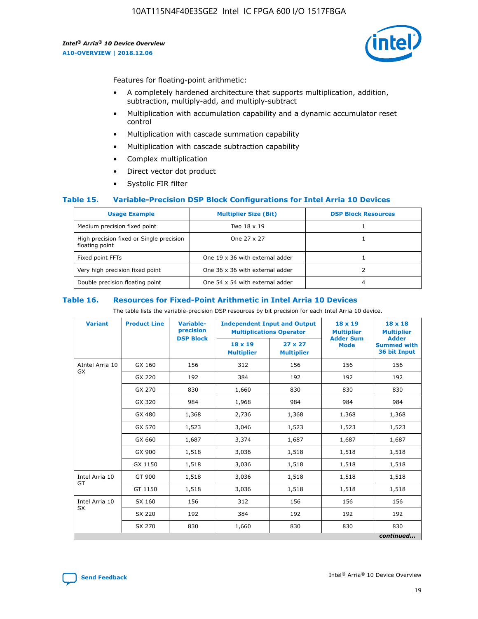

Features for floating-point arithmetic:

- A completely hardened architecture that supports multiplication, addition, subtraction, multiply-add, and multiply-subtract
- Multiplication with accumulation capability and a dynamic accumulator reset control
- Multiplication with cascade summation capability
- Multiplication with cascade subtraction capability
- Complex multiplication
- Direct vector dot product
- Systolic FIR filter

### **Table 15. Variable-Precision DSP Block Configurations for Intel Arria 10 Devices**

| <b>Usage Example</b>                                       | <b>Multiplier Size (Bit)</b>    | <b>DSP Block Resources</b> |
|------------------------------------------------------------|---------------------------------|----------------------------|
| Medium precision fixed point                               | Two 18 x 19                     |                            |
| High precision fixed or Single precision<br>floating point | One 27 x 27                     |                            |
| Fixed point FFTs                                           | One 19 x 36 with external adder |                            |
| Very high precision fixed point                            | One 36 x 36 with external adder |                            |
| Double precision floating point                            | One 54 x 54 with external adder | 4                          |

#### **Table 16. Resources for Fixed-Point Arithmetic in Intel Arria 10 Devices**

The table lists the variable-precision DSP resources by bit precision for each Intel Arria 10 device.

| <b>Variant</b>        | <b>Product Line</b> | <b>Variable-</b><br>precision<br><b>DSP Block</b> | <b>Independent Input and Output</b><br><b>Multiplications Operator</b> |                                     | 18 x 19<br><b>Multiplier</b><br><b>Adder Sum</b> | $18 \times 18$<br><b>Multiplier</b><br><b>Adder</b> |
|-----------------------|---------------------|---------------------------------------------------|------------------------------------------------------------------------|-------------------------------------|--------------------------------------------------|-----------------------------------------------------|
|                       |                     |                                                   | 18 x 19<br><b>Multiplier</b>                                           | $27 \times 27$<br><b>Multiplier</b> | <b>Mode</b>                                      | <b>Summed with</b><br>36 bit Input                  |
| AIntel Arria 10<br>GX | GX 160              | 156                                               | 312                                                                    | 156                                 | 156                                              | 156                                                 |
|                       | GX 220              | 192                                               | 384                                                                    | 192                                 | 192                                              | 192                                                 |
|                       | GX 270              | 830                                               | 1,660                                                                  | 830                                 | 830                                              | 830                                                 |
|                       | GX 320              | 984                                               | 1,968                                                                  | 984                                 | 984                                              | 984                                                 |
|                       | GX 480              | 1,368                                             | 2,736                                                                  | 1,368                               | 1,368                                            | 1,368                                               |
|                       | GX 570              | 1,523                                             | 3,046                                                                  | 1,523                               | 1,523                                            | 1,523                                               |
|                       | GX 660              | 1,687                                             | 3,374                                                                  | 1,687                               | 1,687                                            | 1,687                                               |
|                       | GX 900              | 1,518                                             | 3,036                                                                  | 1,518                               | 1,518                                            | 1,518                                               |
|                       | GX 1150             | 1,518                                             | 3,036                                                                  | 1,518                               | 1,518                                            | 1,518                                               |
| Intel Arria 10        | GT 900              | 1,518                                             | 3,036                                                                  | 1,518                               | 1,518                                            | 1,518                                               |
| GT                    | GT 1150             | 1,518                                             | 3,036                                                                  | 1,518                               | 1,518                                            | 1,518                                               |
| Intel Arria 10        | SX 160              | 156                                               | 312                                                                    | 156                                 | 156                                              | 156                                                 |
| <b>SX</b>             | SX 220<br>192       |                                                   | 384                                                                    | 192                                 | 192                                              | 192                                                 |
|                       | SX 270              | 830                                               | 830<br>1,660                                                           |                                     | 830                                              | 830                                                 |
|                       |                     |                                                   |                                                                        |                                     |                                                  | continued                                           |

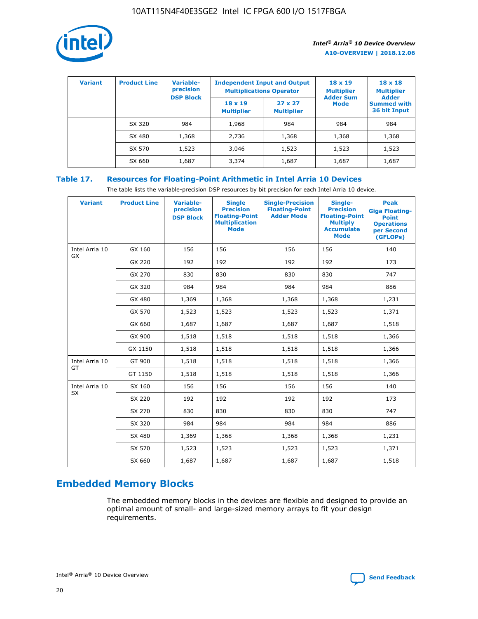

| <b>Variant</b> | <b>Product Line</b> | <b>Variable-</b><br>precision |                                     | <b>Independent Input and Output</b><br><b>Multiplications Operator</b> | $18 \times 19$<br><b>Multiplier</b> | $18 \times 18$<br><b>Multiplier</b><br><b>Adder</b> |  |
|----------------|---------------------|-------------------------------|-------------------------------------|------------------------------------------------------------------------|-------------------------------------|-----------------------------------------------------|--|
|                |                     | <b>DSP Block</b>              | $18 \times 19$<br><b>Multiplier</b> | $27 \times 27$<br><b>Multiplier</b>                                    | <b>Adder Sum</b><br>Mode            | <b>Summed with</b><br>36 bit Input                  |  |
|                | SX 320              | 984                           | 1,968                               | 984                                                                    | 984                                 | 984                                                 |  |
|                | SX 480              | 1,368                         | 2,736                               | 1,368                                                                  | 1,368                               | 1,368                                               |  |
|                | SX 570              | 1,523                         | 3,046                               | 1,523                                                                  | 1,523                               | 1,523                                               |  |
|                | SX 660              | 1,687                         | 3,374                               | 1,687                                                                  | 1,687                               | 1,687                                               |  |

# **Table 17. Resources for Floating-Point Arithmetic in Intel Arria 10 Devices**

The table lists the variable-precision DSP resources by bit precision for each Intel Arria 10 device.

| <b>Variant</b> | <b>Product Line</b> | <b>Variable-</b><br>precision<br><b>DSP Block</b> | <b>Single</b><br><b>Precision</b><br><b>Floating-Point</b><br><b>Multiplication</b><br><b>Mode</b> | <b>Single-Precision</b><br><b>Floating-Point</b><br><b>Adder Mode</b> | Single-<br><b>Precision</b><br><b>Floating-Point</b><br><b>Multiply</b><br><b>Accumulate</b><br><b>Mode</b> | <b>Peak</b><br><b>Giga Floating-</b><br><b>Point</b><br><b>Operations</b><br>per Second<br>(GFLOPs) |
|----------------|---------------------|---------------------------------------------------|----------------------------------------------------------------------------------------------------|-----------------------------------------------------------------------|-------------------------------------------------------------------------------------------------------------|-----------------------------------------------------------------------------------------------------|
| Intel Arria 10 | GX 160              | 156                                               | 156                                                                                                | 156                                                                   | 156                                                                                                         | 140                                                                                                 |
| GX             | GX 220              | 192                                               | 192                                                                                                | 192                                                                   | 192                                                                                                         | 173                                                                                                 |
|                | GX 270              | 830                                               | 830                                                                                                | 830                                                                   | 830                                                                                                         | 747                                                                                                 |
|                | GX 320              | 984                                               | 984                                                                                                | 984                                                                   | 984                                                                                                         | 886                                                                                                 |
|                | GX 480              | 1,369                                             | 1,368                                                                                              | 1,368                                                                 | 1,368                                                                                                       | 1,231                                                                                               |
|                | GX 570              | 1,523                                             | 1,523                                                                                              | 1,523                                                                 | 1,523                                                                                                       | 1,371                                                                                               |
|                | GX 660              | 1,687                                             | 1,687                                                                                              | 1,687                                                                 | 1,687                                                                                                       | 1,518                                                                                               |
|                | GX 900              | 1,518                                             | 1,518                                                                                              | 1,518                                                                 | 1,518                                                                                                       | 1,366                                                                                               |
|                | GX 1150             | 1,518                                             | 1,518                                                                                              | 1,518                                                                 | 1,518                                                                                                       | 1,366                                                                                               |
| Intel Arria 10 | GT 900              | 1,518                                             | 1,518                                                                                              | 1,518                                                                 | 1,518                                                                                                       | 1,366                                                                                               |
| GT             | GT 1150             | 1,518                                             | 1,518                                                                                              | 1,518                                                                 | 1,518                                                                                                       | 1,366                                                                                               |
| Intel Arria 10 | SX 160              | 156                                               | 156                                                                                                | 156                                                                   | 156                                                                                                         | 140                                                                                                 |
| SX             | SX 220              | 192                                               | 192                                                                                                | 192                                                                   | 192                                                                                                         | 173                                                                                                 |
|                | SX 270              | 830                                               | 830                                                                                                | 830                                                                   | 830                                                                                                         | 747                                                                                                 |
|                | SX 320              | 984                                               | 984                                                                                                | 984                                                                   | 984                                                                                                         | 886                                                                                                 |
|                | SX 480              | 1,369                                             | 1,368                                                                                              | 1,368                                                                 | 1,368                                                                                                       | 1,231                                                                                               |
|                | SX 570              | 1,523                                             | 1,523                                                                                              | 1,523                                                                 | 1,523                                                                                                       | 1,371                                                                                               |
|                | SX 660              | 1,687                                             | 1,687                                                                                              | 1,687                                                                 | 1,687                                                                                                       | 1,518                                                                                               |

# **Embedded Memory Blocks**

The embedded memory blocks in the devices are flexible and designed to provide an optimal amount of small- and large-sized memory arrays to fit your design requirements.

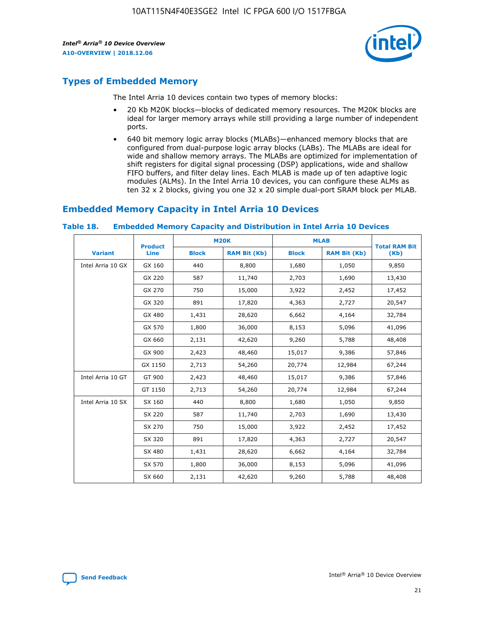

# **Types of Embedded Memory**

The Intel Arria 10 devices contain two types of memory blocks:

- 20 Kb M20K blocks—blocks of dedicated memory resources. The M20K blocks are ideal for larger memory arrays while still providing a large number of independent ports.
- 640 bit memory logic array blocks (MLABs)—enhanced memory blocks that are configured from dual-purpose logic array blocks (LABs). The MLABs are ideal for wide and shallow memory arrays. The MLABs are optimized for implementation of shift registers for digital signal processing (DSP) applications, wide and shallow FIFO buffers, and filter delay lines. Each MLAB is made up of ten adaptive logic modules (ALMs). In the Intel Arria 10 devices, you can configure these ALMs as ten 32 x 2 blocks, giving you one 32 x 20 simple dual-port SRAM block per MLAB.

# **Embedded Memory Capacity in Intel Arria 10 Devices**

|                   | <b>Product</b> |              | <b>M20K</b>         | <b>MLAB</b>  |                     | <b>Total RAM Bit</b> |
|-------------------|----------------|--------------|---------------------|--------------|---------------------|----------------------|
| <b>Variant</b>    | Line           | <b>Block</b> | <b>RAM Bit (Kb)</b> | <b>Block</b> | <b>RAM Bit (Kb)</b> | (Kb)                 |
| Intel Arria 10 GX | GX 160         | 440          | 8,800               | 1,680        | 1,050               | 9,850                |
|                   | GX 220         | 587          | 11,740              | 2,703        | 1,690               | 13,430               |
|                   | GX 270         | 750          | 15,000              | 3,922        | 2,452               | 17,452               |
|                   | GX 320         | 891          | 17,820              | 4,363        | 2,727               | 20,547               |
|                   | GX 480         | 1,431        | 28,620              | 6,662        | 4,164               | 32,784               |
|                   | GX 570         | 1,800        | 36,000              | 8,153        | 5,096               | 41,096               |
|                   | GX 660         | 2,131        | 42,620              | 9,260        | 5,788               | 48,408               |
|                   | GX 900         | 2,423        | 48,460              | 15,017       | 9,386               | 57,846               |
|                   | GX 1150        | 2,713        | 54,260              | 20,774       | 12,984              | 67,244               |
| Intel Arria 10 GT | GT 900         | 2,423        | 48,460              | 15,017       | 9,386               | 57,846               |
|                   | GT 1150        | 2,713        | 54,260              | 20,774       | 12,984              | 67,244               |
| Intel Arria 10 SX | SX 160         | 440          | 8,800               | 1,680        | 1,050               | 9,850                |
|                   | SX 220         | 587          | 11,740              | 2,703        | 1,690               | 13,430               |
|                   | SX 270         | 750          | 15,000              | 3,922        | 2,452               | 17,452               |
|                   | SX 320         | 891          | 17,820              | 4,363        | 2,727               | 20,547               |
|                   | SX 480         | 1,431        | 28,620              | 6,662        | 4,164               | 32,784               |
|                   | SX 570         | 1,800        | 36,000              | 8,153        | 5,096               | 41,096               |
|                   | SX 660         | 2,131        | 42,620              | 9,260        | 5,788               | 48,408               |

#### **Table 18. Embedded Memory Capacity and Distribution in Intel Arria 10 Devices**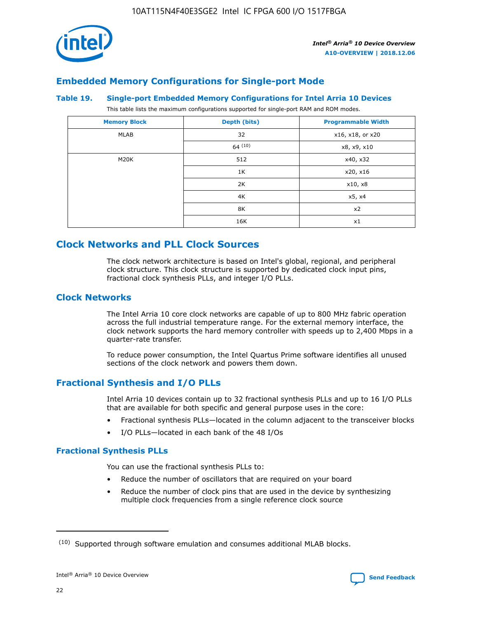

# **Embedded Memory Configurations for Single-port Mode**

#### **Table 19. Single-port Embedded Memory Configurations for Intel Arria 10 Devices**

This table lists the maximum configurations supported for single-port RAM and ROM modes.

| <b>Memory Block</b> | Depth (bits) | <b>Programmable Width</b> |
|---------------------|--------------|---------------------------|
| MLAB                | 32           | x16, x18, or x20          |
|                     | 64(10)       | x8, x9, x10               |
| M20K                | 512          | x40, x32                  |
|                     | 1K           | x20, x16                  |
|                     | 2K           | x10, x8                   |
|                     | 4K           | x5, x4                    |
|                     | 8K           | x2                        |
|                     | 16K          | x1                        |

# **Clock Networks and PLL Clock Sources**

The clock network architecture is based on Intel's global, regional, and peripheral clock structure. This clock structure is supported by dedicated clock input pins, fractional clock synthesis PLLs, and integer I/O PLLs.

## **Clock Networks**

The Intel Arria 10 core clock networks are capable of up to 800 MHz fabric operation across the full industrial temperature range. For the external memory interface, the clock network supports the hard memory controller with speeds up to 2,400 Mbps in a quarter-rate transfer.

To reduce power consumption, the Intel Quartus Prime software identifies all unused sections of the clock network and powers them down.

# **Fractional Synthesis and I/O PLLs**

Intel Arria 10 devices contain up to 32 fractional synthesis PLLs and up to 16 I/O PLLs that are available for both specific and general purpose uses in the core:

- Fractional synthesis PLLs—located in the column adjacent to the transceiver blocks
- I/O PLLs—located in each bank of the 48 I/Os

## **Fractional Synthesis PLLs**

You can use the fractional synthesis PLLs to:

- Reduce the number of oscillators that are required on your board
- Reduce the number of clock pins that are used in the device by synthesizing multiple clock frequencies from a single reference clock source

<sup>(10)</sup> Supported through software emulation and consumes additional MLAB blocks.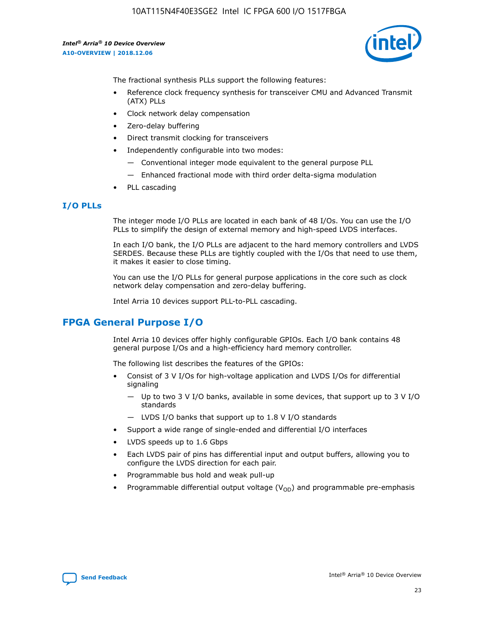

The fractional synthesis PLLs support the following features:

- Reference clock frequency synthesis for transceiver CMU and Advanced Transmit (ATX) PLLs
- Clock network delay compensation
- Zero-delay buffering
- Direct transmit clocking for transceivers
- Independently configurable into two modes:
	- Conventional integer mode equivalent to the general purpose PLL
	- Enhanced fractional mode with third order delta-sigma modulation
- PLL cascading

## **I/O PLLs**

The integer mode I/O PLLs are located in each bank of 48 I/Os. You can use the I/O PLLs to simplify the design of external memory and high-speed LVDS interfaces.

In each I/O bank, the I/O PLLs are adjacent to the hard memory controllers and LVDS SERDES. Because these PLLs are tightly coupled with the I/Os that need to use them, it makes it easier to close timing.

You can use the I/O PLLs for general purpose applications in the core such as clock network delay compensation and zero-delay buffering.

Intel Arria 10 devices support PLL-to-PLL cascading.

# **FPGA General Purpose I/O**

Intel Arria 10 devices offer highly configurable GPIOs. Each I/O bank contains 48 general purpose I/Os and a high-efficiency hard memory controller.

The following list describes the features of the GPIOs:

- Consist of 3 V I/Os for high-voltage application and LVDS I/Os for differential signaling
	- Up to two 3 V I/O banks, available in some devices, that support up to 3 V I/O standards
	- LVDS I/O banks that support up to 1.8 V I/O standards
- Support a wide range of single-ended and differential I/O interfaces
- LVDS speeds up to 1.6 Gbps
- Each LVDS pair of pins has differential input and output buffers, allowing you to configure the LVDS direction for each pair.
- Programmable bus hold and weak pull-up
- Programmable differential output voltage  $(V_{OD})$  and programmable pre-emphasis

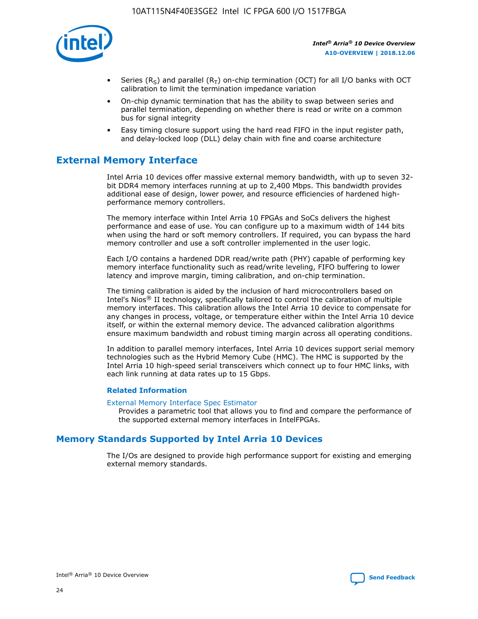

- Series (R<sub>S</sub>) and parallel (R<sub>T</sub>) on-chip termination (OCT) for all I/O banks with OCT calibration to limit the termination impedance variation
- On-chip dynamic termination that has the ability to swap between series and parallel termination, depending on whether there is read or write on a common bus for signal integrity
- Easy timing closure support using the hard read FIFO in the input register path, and delay-locked loop (DLL) delay chain with fine and coarse architecture

# **External Memory Interface**

Intel Arria 10 devices offer massive external memory bandwidth, with up to seven 32 bit DDR4 memory interfaces running at up to 2,400 Mbps. This bandwidth provides additional ease of design, lower power, and resource efficiencies of hardened highperformance memory controllers.

The memory interface within Intel Arria 10 FPGAs and SoCs delivers the highest performance and ease of use. You can configure up to a maximum width of 144 bits when using the hard or soft memory controllers. If required, you can bypass the hard memory controller and use a soft controller implemented in the user logic.

Each I/O contains a hardened DDR read/write path (PHY) capable of performing key memory interface functionality such as read/write leveling, FIFO buffering to lower latency and improve margin, timing calibration, and on-chip termination.

The timing calibration is aided by the inclusion of hard microcontrollers based on Intel's Nios® II technology, specifically tailored to control the calibration of multiple memory interfaces. This calibration allows the Intel Arria 10 device to compensate for any changes in process, voltage, or temperature either within the Intel Arria 10 device itself, or within the external memory device. The advanced calibration algorithms ensure maximum bandwidth and robust timing margin across all operating conditions.

In addition to parallel memory interfaces, Intel Arria 10 devices support serial memory technologies such as the Hybrid Memory Cube (HMC). The HMC is supported by the Intel Arria 10 high-speed serial transceivers which connect up to four HMC links, with each link running at data rates up to 15 Gbps.

### **Related Information**

### [External Memory Interface Spec Estimator](http://www.altera.com/technology/memory/estimator/mem-emif-index.html)

Provides a parametric tool that allows you to find and compare the performance of the supported external memory interfaces in IntelFPGAs.

# **Memory Standards Supported by Intel Arria 10 Devices**

The I/Os are designed to provide high performance support for existing and emerging external memory standards.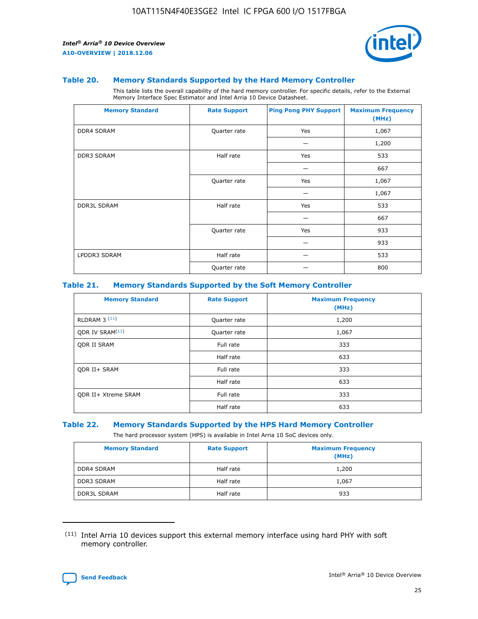

#### **Table 20. Memory Standards Supported by the Hard Memory Controller**

This table lists the overall capability of the hard memory controller. For specific details, refer to the External Memory Interface Spec Estimator and Intel Arria 10 Device Datasheet.

| <b>Memory Standard</b> | <b>Rate Support</b> | <b>Ping Pong PHY Support</b> | <b>Maximum Frequency</b><br>(MHz) |
|------------------------|---------------------|------------------------------|-----------------------------------|
| <b>DDR4 SDRAM</b>      | Quarter rate        | Yes                          | 1,067                             |
|                        |                     |                              | 1,200                             |
| <b>DDR3 SDRAM</b>      | Half rate           | Yes                          | 533                               |
|                        |                     |                              | 667                               |
|                        | Quarter rate        | Yes                          | 1,067                             |
|                        |                     |                              | 1,067                             |
| <b>DDR3L SDRAM</b>     | Half rate           | Yes                          | 533                               |
|                        |                     |                              | 667                               |
|                        | Quarter rate        | Yes                          | 933                               |
|                        |                     |                              | 933                               |
| LPDDR3 SDRAM           | Half rate           |                              | 533                               |
|                        | Quarter rate        |                              | 800                               |

### **Table 21. Memory Standards Supported by the Soft Memory Controller**

| <b>Memory Standard</b>      | <b>Rate Support</b> | <b>Maximum Frequency</b><br>(MHz) |
|-----------------------------|---------------------|-----------------------------------|
| <b>RLDRAM 3 (11)</b>        | Quarter rate        | 1,200                             |
| ODR IV SRAM <sup>(11)</sup> | Quarter rate        | 1,067                             |
| <b>ODR II SRAM</b>          | Full rate           | 333                               |
|                             | Half rate           | 633                               |
| <b>ODR II+ SRAM</b>         | Full rate           | 333                               |
|                             | Half rate           | 633                               |
| <b>ODR II+ Xtreme SRAM</b>  | Full rate           | 333                               |
|                             | Half rate           | 633                               |

#### **Table 22. Memory Standards Supported by the HPS Hard Memory Controller**

The hard processor system (HPS) is available in Intel Arria 10 SoC devices only.

| <b>Memory Standard</b> | <b>Rate Support</b> | <b>Maximum Frequency</b><br>(MHz) |
|------------------------|---------------------|-----------------------------------|
| <b>DDR4 SDRAM</b>      | Half rate           | 1,200                             |
| <b>DDR3 SDRAM</b>      | Half rate           | 1,067                             |
| <b>DDR3L SDRAM</b>     | Half rate           | 933                               |

<sup>(11)</sup> Intel Arria 10 devices support this external memory interface using hard PHY with soft memory controller.

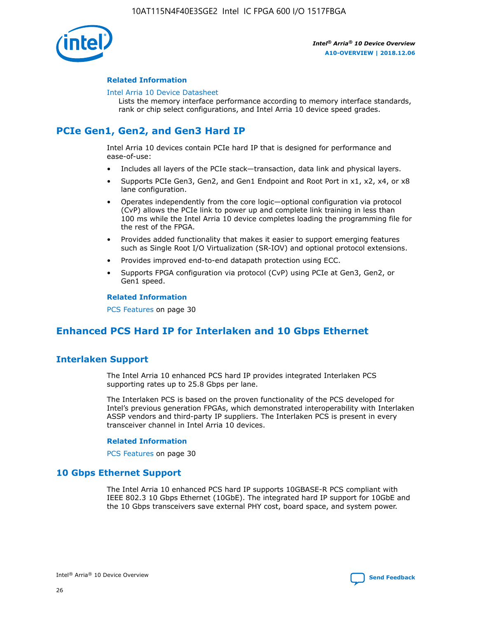

## **Related Information**

#### [Intel Arria 10 Device Datasheet](https://www.intel.com/content/www/us/en/programmable/documentation/mcn1413182292568.html#mcn1413182153340)

Lists the memory interface performance according to memory interface standards, rank or chip select configurations, and Intel Arria 10 device speed grades.

# **PCIe Gen1, Gen2, and Gen3 Hard IP**

Intel Arria 10 devices contain PCIe hard IP that is designed for performance and ease-of-use:

- Includes all layers of the PCIe stack—transaction, data link and physical layers.
- Supports PCIe Gen3, Gen2, and Gen1 Endpoint and Root Port in x1, x2, x4, or x8 lane configuration.
- Operates independently from the core logic—optional configuration via protocol (CvP) allows the PCIe link to power up and complete link training in less than 100 ms while the Intel Arria 10 device completes loading the programming file for the rest of the FPGA.
- Provides added functionality that makes it easier to support emerging features such as Single Root I/O Virtualization (SR-IOV) and optional protocol extensions.
- Provides improved end-to-end datapath protection using ECC.
- Supports FPGA configuration via protocol (CvP) using PCIe at Gen3, Gen2, or Gen1 speed.

#### **Related Information**

PCS Features on page 30

# **Enhanced PCS Hard IP for Interlaken and 10 Gbps Ethernet**

# **Interlaken Support**

The Intel Arria 10 enhanced PCS hard IP provides integrated Interlaken PCS supporting rates up to 25.8 Gbps per lane.

The Interlaken PCS is based on the proven functionality of the PCS developed for Intel's previous generation FPGAs, which demonstrated interoperability with Interlaken ASSP vendors and third-party IP suppliers. The Interlaken PCS is present in every transceiver channel in Intel Arria 10 devices.

### **Related Information**

PCS Features on page 30

## **10 Gbps Ethernet Support**

The Intel Arria 10 enhanced PCS hard IP supports 10GBASE-R PCS compliant with IEEE 802.3 10 Gbps Ethernet (10GbE). The integrated hard IP support for 10GbE and the 10 Gbps transceivers save external PHY cost, board space, and system power.

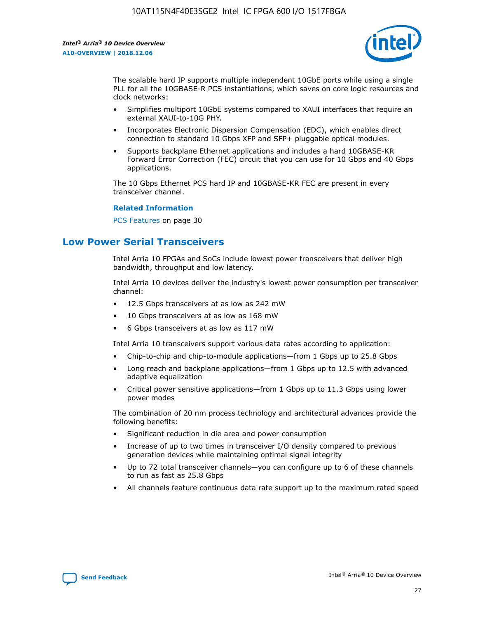

The scalable hard IP supports multiple independent 10GbE ports while using a single PLL for all the 10GBASE-R PCS instantiations, which saves on core logic resources and clock networks:

- Simplifies multiport 10GbE systems compared to XAUI interfaces that require an external XAUI-to-10G PHY.
- Incorporates Electronic Dispersion Compensation (EDC), which enables direct connection to standard 10 Gbps XFP and SFP+ pluggable optical modules.
- Supports backplane Ethernet applications and includes a hard 10GBASE-KR Forward Error Correction (FEC) circuit that you can use for 10 Gbps and 40 Gbps applications.

The 10 Gbps Ethernet PCS hard IP and 10GBASE-KR FEC are present in every transceiver channel.

#### **Related Information**

PCS Features on page 30

# **Low Power Serial Transceivers**

Intel Arria 10 FPGAs and SoCs include lowest power transceivers that deliver high bandwidth, throughput and low latency.

Intel Arria 10 devices deliver the industry's lowest power consumption per transceiver channel:

- 12.5 Gbps transceivers at as low as 242 mW
- 10 Gbps transceivers at as low as 168 mW
- 6 Gbps transceivers at as low as 117 mW

Intel Arria 10 transceivers support various data rates according to application:

- Chip-to-chip and chip-to-module applications—from 1 Gbps up to 25.8 Gbps
- Long reach and backplane applications—from 1 Gbps up to 12.5 with advanced adaptive equalization
- Critical power sensitive applications—from 1 Gbps up to 11.3 Gbps using lower power modes

The combination of 20 nm process technology and architectural advances provide the following benefits:

- Significant reduction in die area and power consumption
- Increase of up to two times in transceiver I/O density compared to previous generation devices while maintaining optimal signal integrity
- Up to 72 total transceiver channels—you can configure up to 6 of these channels to run as fast as 25.8 Gbps
- All channels feature continuous data rate support up to the maximum rated speed

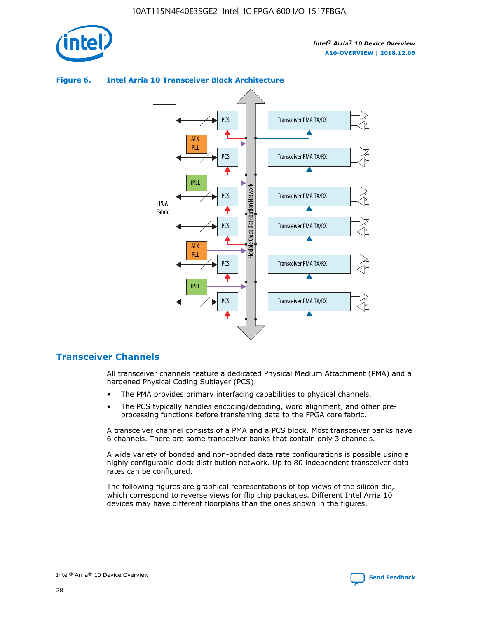

# **Figure 6. Intel Arria 10 Transceiver Block Architecture**



# **Transceiver Channels**

All transceiver channels feature a dedicated Physical Medium Attachment (PMA) and a hardened Physical Coding Sublayer (PCS).

- The PMA provides primary interfacing capabilities to physical channels.
- The PCS typically handles encoding/decoding, word alignment, and other preprocessing functions before transferring data to the FPGA core fabric.

A transceiver channel consists of a PMA and a PCS block. Most transceiver banks have 6 channels. There are some transceiver banks that contain only 3 channels.

A wide variety of bonded and non-bonded data rate configurations is possible using a highly configurable clock distribution network. Up to 80 independent transceiver data rates can be configured.

The following figures are graphical representations of top views of the silicon die, which correspond to reverse views for flip chip packages. Different Intel Arria 10 devices may have different floorplans than the ones shown in the figures.

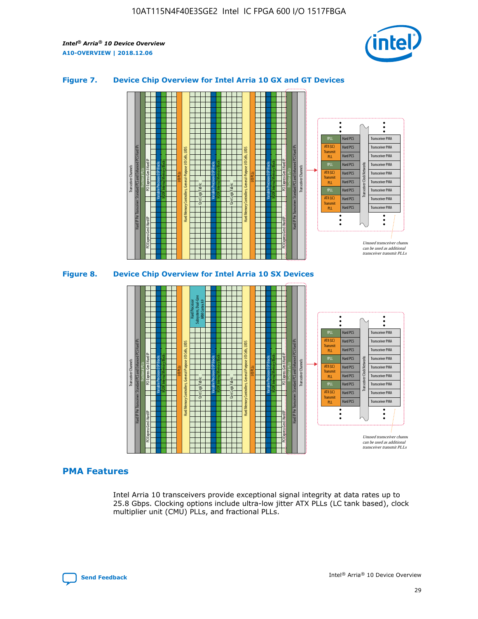

## **Figure 7. Device Chip Overview for Intel Arria 10 GX and GT Devices**



M20K Internal Memory Blocks Core Logic Fabric Transceiver Channels Hard IP Per Transceiver: Standard PCS and Enhanced PCS Hard IPs PCI Express Gen3 Hard IP Fractional PLLs M20K Internal Memory Blocks PCI Express Gen3 Hard IP Variable Precision DSP Blocks I/O PLLs Hard Memory Controllers, General-Purpose I/O Cells, LVDS Hard Processor Subsystem, Dual-Core ARM Cortex A9 M20K Internal Memory Blocks Variable Precision DSP Blocks M20K Internal Memory Blocks Core Logic Fabric I/O PLLs Hard Memory Controllers, General-Purpose I/O Cells, LVDS M20K Internal Memory Blocks Variable Precision DSP Blocks M20K Internal Memory Blocks Transceiver Channels Hard IP Per Transceiver: Standard PCS and Enhanced PCS Hard IPs PCI Express Gen3 Hard IP Fractional PLLs PCI Express Gen3 Hard IP Hard PCS Hard PCS Hard PCS Hard PCS Hard PCS Hard PCS Hard PCS Hard PCS Transceiver PMA Transceiver PMA Transceiver PMA Transceiver PMA Transceiver PMA Transceiver PMA Unused transceiver chann can be used as additional transceiver transmit PLLs Transceiver PMA Transceiver PMA Transceiver Clock Networks ATX (LC) **Transmit** PLL fPLL ATX (LC) Transmi PLL fPLL ATX (LC) **Transmit** PLL

## **PMA Features**

Intel Arria 10 transceivers provide exceptional signal integrity at data rates up to 25.8 Gbps. Clocking options include ultra-low jitter ATX PLLs (LC tank based), clock multiplier unit (CMU) PLLs, and fractional PLLs.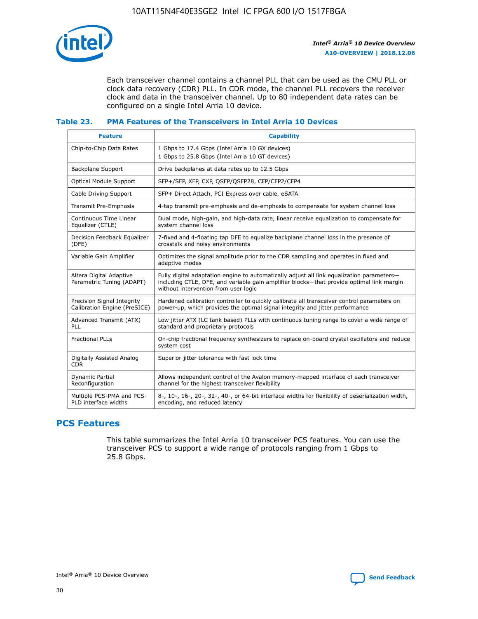

Each transceiver channel contains a channel PLL that can be used as the CMU PLL or clock data recovery (CDR) PLL. In CDR mode, the channel PLL recovers the receiver clock and data in the transceiver channel. Up to 80 independent data rates can be configured on a single Intel Arria 10 device.

## **Table 23. PMA Features of the Transceivers in Intel Arria 10 Devices**

| <b>Feature</b>                                             | <b>Capability</b>                                                                                                                                                                                                             |
|------------------------------------------------------------|-------------------------------------------------------------------------------------------------------------------------------------------------------------------------------------------------------------------------------|
| Chip-to-Chip Data Rates                                    | 1 Gbps to 17.4 Gbps (Intel Arria 10 GX devices)<br>1 Gbps to 25.8 Gbps (Intel Arria 10 GT devices)                                                                                                                            |
| <b>Backplane Support</b>                                   | Drive backplanes at data rates up to 12.5 Gbps                                                                                                                                                                                |
| <b>Optical Module Support</b>                              | SFP+/SFP, XFP, CXP, QSFP/QSFP28, CFP/CFP2/CFP4                                                                                                                                                                                |
| Cable Driving Support                                      | SFP+ Direct Attach, PCI Express over cable, eSATA                                                                                                                                                                             |
| Transmit Pre-Emphasis                                      | 4-tap transmit pre-emphasis and de-emphasis to compensate for system channel loss                                                                                                                                             |
| Continuous Time Linear<br>Equalizer (CTLE)                 | Dual mode, high-gain, and high-data rate, linear receive equalization to compensate for<br>system channel loss                                                                                                                |
| Decision Feedback Equalizer<br>(DFE)                       | 7-fixed and 4-floating tap DFE to equalize backplane channel loss in the presence of<br>crosstalk and noisy environments                                                                                                      |
| Variable Gain Amplifier                                    | Optimizes the signal amplitude prior to the CDR sampling and operates in fixed and<br>adaptive modes                                                                                                                          |
| Altera Digital Adaptive<br>Parametric Tuning (ADAPT)       | Fully digital adaptation engine to automatically adjust all link equalization parameters-<br>including CTLE, DFE, and variable gain amplifier blocks—that provide optimal link margin<br>without intervention from user logic |
| Precision Signal Integrity<br>Calibration Engine (PreSICE) | Hardened calibration controller to quickly calibrate all transceiver control parameters on<br>power-up, which provides the optimal signal integrity and jitter performance                                                    |
| Advanced Transmit (ATX)<br>PLL                             | Low jitter ATX (LC tank based) PLLs with continuous tuning range to cover a wide range of<br>standard and proprietary protocols                                                                                               |
| <b>Fractional PLLs</b>                                     | On-chip fractional frequency synthesizers to replace on-board crystal oscillators and reduce<br>system cost                                                                                                                   |
| Digitally Assisted Analog<br><b>CDR</b>                    | Superior jitter tolerance with fast lock time                                                                                                                                                                                 |
| Dynamic Partial<br>Reconfiguration                         | Allows independent control of the Avalon memory-mapped interface of each transceiver<br>channel for the highest transceiver flexibility                                                                                       |
| Multiple PCS-PMA and PCS-<br>PLD interface widths          | 8-, 10-, 16-, 20-, 32-, 40-, or 64-bit interface widths for flexibility of deserialization width,<br>encoding, and reduced latency                                                                                            |

# **PCS Features**

This table summarizes the Intel Arria 10 transceiver PCS features. You can use the transceiver PCS to support a wide range of protocols ranging from 1 Gbps to 25.8 Gbps.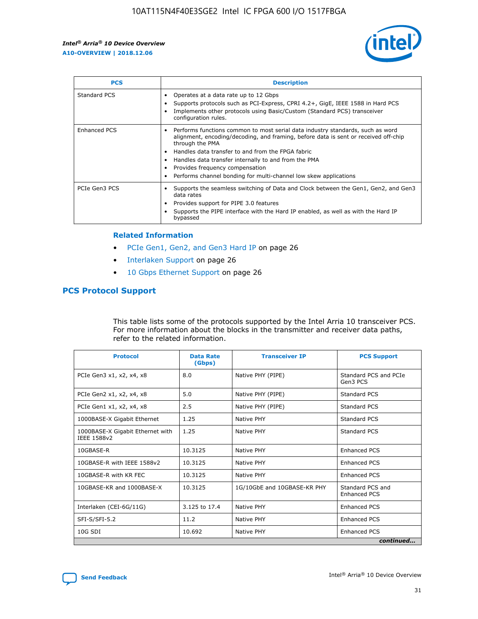

| <b>PCS</b>          | <b>Description</b>                                                                                                                                                                                                                                                                                                                                                                                             |
|---------------------|----------------------------------------------------------------------------------------------------------------------------------------------------------------------------------------------------------------------------------------------------------------------------------------------------------------------------------------------------------------------------------------------------------------|
| Standard PCS        | Operates at a data rate up to 12 Gbps<br>Supports protocols such as PCI-Express, CPRI 4.2+, GigE, IEEE 1588 in Hard PCS<br>Implements other protocols using Basic/Custom (Standard PCS) transceiver<br>configuration rules.                                                                                                                                                                                    |
| <b>Enhanced PCS</b> | Performs functions common to most serial data industry standards, such as word<br>alignment, encoding/decoding, and framing, before data is sent or received off-chip<br>through the PMA<br>• Handles data transfer to and from the FPGA fabric<br>Handles data transfer internally to and from the PMA<br>Provides frequency compensation<br>Performs channel bonding for multi-channel low skew applications |
| PCIe Gen3 PCS       | Supports the seamless switching of Data and Clock between the Gen1, Gen2, and Gen3<br>data rates<br>Provides support for PIPE 3.0 features<br>Supports the PIPE interface with the Hard IP enabled, as well as with the Hard IP<br>bypassed                                                                                                                                                                    |

#### **Related Information**

- PCIe Gen1, Gen2, and Gen3 Hard IP on page 26
- Interlaken Support on page 26
- 10 Gbps Ethernet Support on page 26

# **PCS Protocol Support**

This table lists some of the protocols supported by the Intel Arria 10 transceiver PCS. For more information about the blocks in the transmitter and receiver data paths, refer to the related information.

| <b>Protocol</b>                                 | <b>Data Rate</b><br>(Gbps) | <b>Transceiver IP</b>       | <b>PCS Support</b>                      |
|-------------------------------------------------|----------------------------|-----------------------------|-----------------------------------------|
| PCIe Gen3 x1, x2, x4, x8                        | 8.0                        | Native PHY (PIPE)           | Standard PCS and PCIe<br>Gen3 PCS       |
| PCIe Gen2 x1, x2, x4, x8                        | 5.0                        | Native PHY (PIPE)           | <b>Standard PCS</b>                     |
| PCIe Gen1 x1, x2, x4, x8                        | 2.5                        | Native PHY (PIPE)           | Standard PCS                            |
| 1000BASE-X Gigabit Ethernet                     | 1.25                       | Native PHY                  | <b>Standard PCS</b>                     |
| 1000BASE-X Gigabit Ethernet with<br>IEEE 1588v2 | 1.25                       | Native PHY                  | Standard PCS                            |
| 10GBASE-R                                       | 10.3125                    | Native PHY                  | <b>Enhanced PCS</b>                     |
| 10GBASE-R with IEEE 1588v2                      | 10.3125                    | Native PHY                  | <b>Enhanced PCS</b>                     |
| 10GBASE-R with KR FEC                           | 10.3125                    | Native PHY                  | <b>Enhanced PCS</b>                     |
| 10GBASE-KR and 1000BASE-X                       | 10.3125                    | 1G/10GbE and 10GBASE-KR PHY | Standard PCS and<br><b>Enhanced PCS</b> |
| Interlaken (CEI-6G/11G)                         | 3.125 to 17.4              | Native PHY                  | <b>Enhanced PCS</b>                     |
| SFI-S/SFI-5.2                                   | 11.2                       | Native PHY                  | <b>Enhanced PCS</b>                     |
| $10G$ SDI                                       | 10.692                     | Native PHY                  | <b>Enhanced PCS</b>                     |
|                                                 |                            |                             | continued                               |

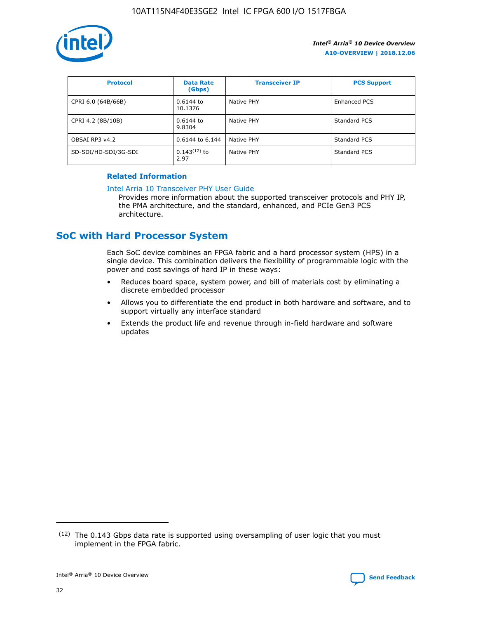

| <b>Protocol</b>      | <b>Data Rate</b><br>(Gbps) | <b>Transceiver IP</b> | <b>PCS Support</b> |
|----------------------|----------------------------|-----------------------|--------------------|
| CPRI 6.0 (64B/66B)   | 0.6144 to<br>10.1376       | Native PHY            | Enhanced PCS       |
| CPRI 4.2 (8B/10B)    | 0.6144 to<br>9.8304        | Native PHY            | Standard PCS       |
| OBSAI RP3 v4.2       | 0.6144 to 6.144            | Native PHY            | Standard PCS       |
| SD-SDI/HD-SDI/3G-SDI | $0.143(12)$ to<br>2.97     | Native PHY            | Standard PCS       |

## **Related Information**

#### [Intel Arria 10 Transceiver PHY User Guide](https://www.intel.com/content/www/us/en/programmable/documentation/nik1398707230472.html#nik1398707091164)

Provides more information about the supported transceiver protocols and PHY IP, the PMA architecture, and the standard, enhanced, and PCIe Gen3 PCS architecture.

# **SoC with Hard Processor System**

Each SoC device combines an FPGA fabric and a hard processor system (HPS) in a single device. This combination delivers the flexibility of programmable logic with the power and cost savings of hard IP in these ways:

- Reduces board space, system power, and bill of materials cost by eliminating a discrete embedded processor
- Allows you to differentiate the end product in both hardware and software, and to support virtually any interface standard
- Extends the product life and revenue through in-field hardware and software updates

 $(12)$  The 0.143 Gbps data rate is supported using oversampling of user logic that you must implement in the FPGA fabric.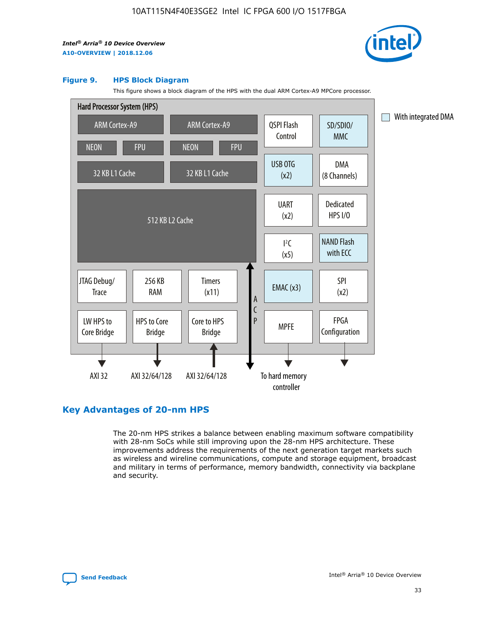

#### **Figure 9. HPS Block Diagram**

This figure shows a block diagram of the HPS with the dual ARM Cortex-A9 MPCore processor.



# **Key Advantages of 20-nm HPS**

The 20-nm HPS strikes a balance between enabling maximum software compatibility with 28-nm SoCs while still improving upon the 28-nm HPS architecture. These improvements address the requirements of the next generation target markets such as wireless and wireline communications, compute and storage equipment, broadcast and military in terms of performance, memory bandwidth, connectivity via backplane and security.

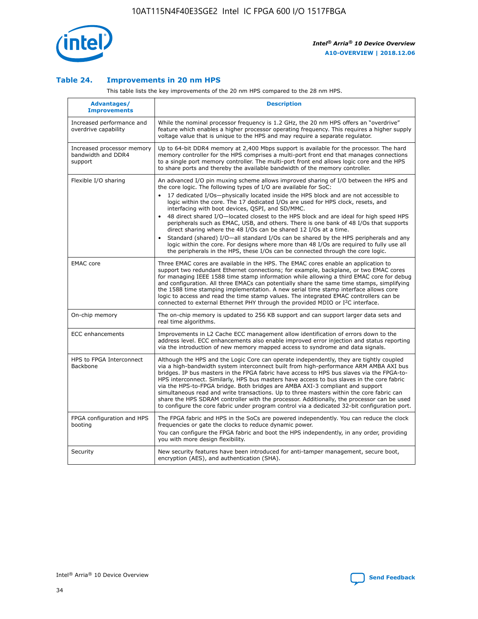

## **Table 24. Improvements in 20 nm HPS**

This table lists the key improvements of the 20 nm HPS compared to the 28 nm HPS.

| Advantages/<br><b>Improvements</b>                          | <b>Description</b>                                                                                                                                                                                                                                                                                                                                                                                                                                                                                                                                                                                                                                                                                                                                                                                                                                                                                                                   |
|-------------------------------------------------------------|--------------------------------------------------------------------------------------------------------------------------------------------------------------------------------------------------------------------------------------------------------------------------------------------------------------------------------------------------------------------------------------------------------------------------------------------------------------------------------------------------------------------------------------------------------------------------------------------------------------------------------------------------------------------------------------------------------------------------------------------------------------------------------------------------------------------------------------------------------------------------------------------------------------------------------------|
| Increased performance and<br>overdrive capability           | While the nominal processor frequency is 1.2 GHz, the 20 nm HPS offers an "overdrive"<br>feature which enables a higher processor operating frequency. This requires a higher supply<br>voltage value that is unique to the HPS and may require a separate regulator.                                                                                                                                                                                                                                                                                                                                                                                                                                                                                                                                                                                                                                                                |
| Increased processor memory<br>bandwidth and DDR4<br>support | Up to 64-bit DDR4 memory at 2,400 Mbps support is available for the processor. The hard<br>memory controller for the HPS comprises a multi-port front end that manages connections<br>to a single port memory controller. The multi-port front end allows logic core and the HPS<br>to share ports and thereby the available bandwidth of the memory controller.                                                                                                                                                                                                                                                                                                                                                                                                                                                                                                                                                                     |
| Flexible I/O sharing                                        | An advanced I/O pin muxing scheme allows improved sharing of I/O between the HPS and<br>the core logic. The following types of I/O are available for SoC:<br>17 dedicated I/Os-physically located inside the HPS block and are not accessible to<br>logic within the core. The 17 dedicated I/Os are used for HPS clock, resets, and<br>interfacing with boot devices, QSPI, and SD/MMC.<br>48 direct shared I/O-located closest to the HPS block and are ideal for high speed HPS<br>$\bullet$<br>peripherals such as EMAC, USB, and others. There is one bank of 48 I/Os that supports<br>direct sharing where the 48 I/Os can be shared 12 I/Os at a time.<br>Standard (shared) I/O-all standard I/Os can be shared by the HPS peripherals and any<br>logic within the core. For designs where more than 48 I/Os are reguired to fully use all<br>the peripherals in the HPS, these I/Os can be connected through the core logic. |
| <b>EMAC</b> core                                            | Three EMAC cores are available in the HPS. The EMAC cores enable an application to<br>support two redundant Ethernet connections; for example, backplane, or two EMAC cores<br>for managing IEEE 1588 time stamp information while allowing a third EMAC core for debug<br>and configuration. All three EMACs can potentially share the same time stamps, simplifying<br>the 1588 time stamping implementation. A new serial time stamp interface allows core<br>logic to access and read the time stamp values. The integrated EMAC controllers can be<br>connected to external Ethernet PHY through the provided MDIO or I <sup>2</sup> C interface.                                                                                                                                                                                                                                                                               |
| On-chip memory                                              | The on-chip memory is updated to 256 KB support and can support larger data sets and<br>real time algorithms.                                                                                                                                                                                                                                                                                                                                                                                                                                                                                                                                                                                                                                                                                                                                                                                                                        |
| <b>ECC</b> enhancements                                     | Improvements in L2 Cache ECC management allow identification of errors down to the<br>address level. ECC enhancements also enable improved error injection and status reporting<br>via the introduction of new memory mapped access to syndrome and data signals.                                                                                                                                                                                                                                                                                                                                                                                                                                                                                                                                                                                                                                                                    |
| HPS to FPGA Interconnect<br>Backbone                        | Although the HPS and the Logic Core can operate independently, they are tightly coupled<br>via a high-bandwidth system interconnect built from high-performance ARM AMBA AXI bus<br>bridges. IP bus masters in the FPGA fabric have access to HPS bus slaves via the FPGA-to-<br>HPS interconnect. Similarly, HPS bus masters have access to bus slaves in the core fabric<br>via the HPS-to-FPGA bridge. Both bridges are AMBA AXI-3 compliant and support<br>simultaneous read and write transactions. Up to three masters within the core fabric can<br>share the HPS SDRAM controller with the processor. Additionally, the processor can be used<br>to configure the core fabric under program control via a dedicated 32-bit configuration port.                                                                                                                                                                               |
| FPGA configuration and HPS<br>booting                       | The FPGA fabric and HPS in the SoCs are powered independently. You can reduce the clock<br>frequencies or gate the clocks to reduce dynamic power.<br>You can configure the FPGA fabric and boot the HPS independently, in any order, providing<br>you with more design flexibility.                                                                                                                                                                                                                                                                                                                                                                                                                                                                                                                                                                                                                                                 |
| Security                                                    | New security features have been introduced for anti-tamper management, secure boot,<br>encryption (AES), and authentication (SHA).                                                                                                                                                                                                                                                                                                                                                                                                                                                                                                                                                                                                                                                                                                                                                                                                   |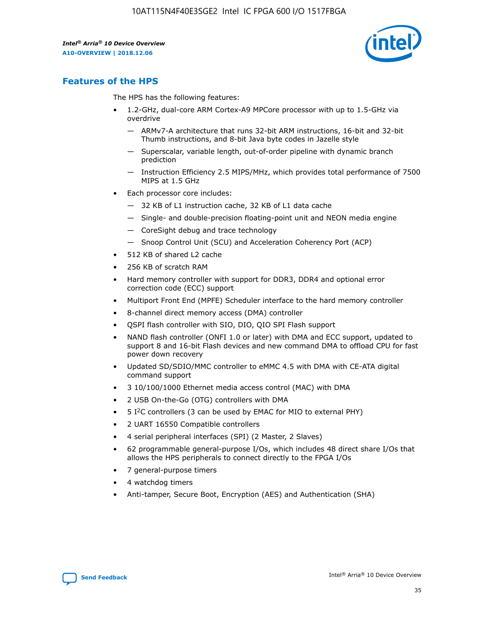

# **Features of the HPS**

The HPS has the following features:

- 1.2-GHz, dual-core ARM Cortex-A9 MPCore processor with up to 1.5-GHz via overdrive
	- ARMv7-A architecture that runs 32-bit ARM instructions, 16-bit and 32-bit Thumb instructions, and 8-bit Java byte codes in Jazelle style
	- Superscalar, variable length, out-of-order pipeline with dynamic branch prediction
	- Instruction Efficiency 2.5 MIPS/MHz, which provides total performance of 7500 MIPS at 1.5 GHz
- Each processor core includes:
	- 32 KB of L1 instruction cache, 32 KB of L1 data cache
	- Single- and double-precision floating-point unit and NEON media engine
	- CoreSight debug and trace technology
	- Snoop Control Unit (SCU) and Acceleration Coherency Port (ACP)
- 512 KB of shared L2 cache
- 256 KB of scratch RAM
- Hard memory controller with support for DDR3, DDR4 and optional error correction code (ECC) support
- Multiport Front End (MPFE) Scheduler interface to the hard memory controller
- 8-channel direct memory access (DMA) controller
- QSPI flash controller with SIO, DIO, QIO SPI Flash support
- NAND flash controller (ONFI 1.0 or later) with DMA and ECC support, updated to support 8 and 16-bit Flash devices and new command DMA to offload CPU for fast power down recovery
- Updated SD/SDIO/MMC controller to eMMC 4.5 with DMA with CE-ATA digital command support
- 3 10/100/1000 Ethernet media access control (MAC) with DMA
- 2 USB On-the-Go (OTG) controllers with DMA
- $\bullet$  5 I<sup>2</sup>C controllers (3 can be used by EMAC for MIO to external PHY)
- 2 UART 16550 Compatible controllers
- 4 serial peripheral interfaces (SPI) (2 Master, 2 Slaves)
- 62 programmable general-purpose I/Os, which includes 48 direct share I/Os that allows the HPS peripherals to connect directly to the FPGA I/Os
- 7 general-purpose timers
- 4 watchdog timers
- Anti-tamper, Secure Boot, Encryption (AES) and Authentication (SHA)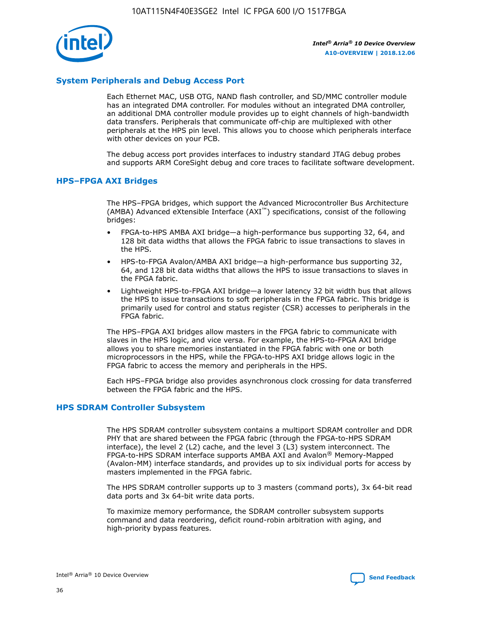

## **System Peripherals and Debug Access Port**

Each Ethernet MAC, USB OTG, NAND flash controller, and SD/MMC controller module has an integrated DMA controller. For modules without an integrated DMA controller, an additional DMA controller module provides up to eight channels of high-bandwidth data transfers. Peripherals that communicate off-chip are multiplexed with other peripherals at the HPS pin level. This allows you to choose which peripherals interface with other devices on your PCB.

The debug access port provides interfaces to industry standard JTAG debug probes and supports ARM CoreSight debug and core traces to facilitate software development.

## **HPS–FPGA AXI Bridges**

The HPS–FPGA bridges, which support the Advanced Microcontroller Bus Architecture (AMBA) Advanced eXtensible Interface (AXI™) specifications, consist of the following bridges:

- FPGA-to-HPS AMBA AXI bridge—a high-performance bus supporting 32, 64, and 128 bit data widths that allows the FPGA fabric to issue transactions to slaves in the HPS.
- HPS-to-FPGA Avalon/AMBA AXI bridge—a high-performance bus supporting 32, 64, and 128 bit data widths that allows the HPS to issue transactions to slaves in the FPGA fabric.
- Lightweight HPS-to-FPGA AXI bridge—a lower latency 32 bit width bus that allows the HPS to issue transactions to soft peripherals in the FPGA fabric. This bridge is primarily used for control and status register (CSR) accesses to peripherals in the FPGA fabric.

The HPS–FPGA AXI bridges allow masters in the FPGA fabric to communicate with slaves in the HPS logic, and vice versa. For example, the HPS-to-FPGA AXI bridge allows you to share memories instantiated in the FPGA fabric with one or both microprocessors in the HPS, while the FPGA-to-HPS AXI bridge allows logic in the FPGA fabric to access the memory and peripherals in the HPS.

Each HPS–FPGA bridge also provides asynchronous clock crossing for data transferred between the FPGA fabric and the HPS.

### **HPS SDRAM Controller Subsystem**

The HPS SDRAM controller subsystem contains a multiport SDRAM controller and DDR PHY that are shared between the FPGA fabric (through the FPGA-to-HPS SDRAM interface), the level 2 (L2) cache, and the level 3 (L3) system interconnect. The FPGA-to-HPS SDRAM interface supports AMBA AXI and Avalon® Memory-Mapped (Avalon-MM) interface standards, and provides up to six individual ports for access by masters implemented in the FPGA fabric.

The HPS SDRAM controller supports up to 3 masters (command ports), 3x 64-bit read data ports and 3x 64-bit write data ports.

To maximize memory performance, the SDRAM controller subsystem supports command and data reordering, deficit round-robin arbitration with aging, and high-priority bypass features.

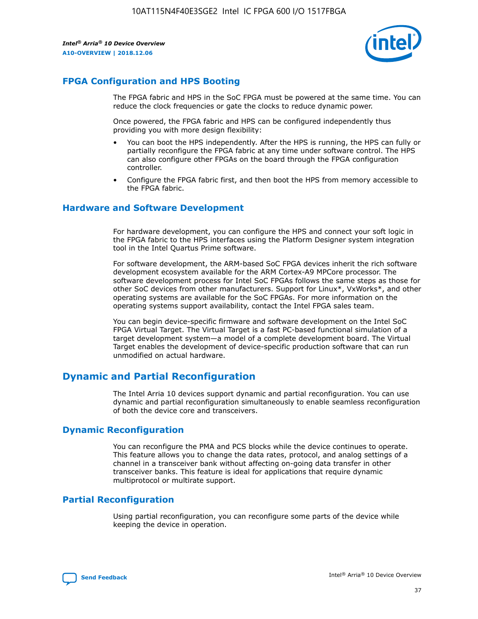

# **FPGA Configuration and HPS Booting**

The FPGA fabric and HPS in the SoC FPGA must be powered at the same time. You can reduce the clock frequencies or gate the clocks to reduce dynamic power.

Once powered, the FPGA fabric and HPS can be configured independently thus providing you with more design flexibility:

- You can boot the HPS independently. After the HPS is running, the HPS can fully or partially reconfigure the FPGA fabric at any time under software control. The HPS can also configure other FPGAs on the board through the FPGA configuration controller.
- Configure the FPGA fabric first, and then boot the HPS from memory accessible to the FPGA fabric.

## **Hardware and Software Development**

For hardware development, you can configure the HPS and connect your soft logic in the FPGA fabric to the HPS interfaces using the Platform Designer system integration tool in the Intel Quartus Prime software.

For software development, the ARM-based SoC FPGA devices inherit the rich software development ecosystem available for the ARM Cortex-A9 MPCore processor. The software development process for Intel SoC FPGAs follows the same steps as those for other SoC devices from other manufacturers. Support for Linux\*, VxWorks\*, and other operating systems are available for the SoC FPGAs. For more information on the operating systems support availability, contact the Intel FPGA sales team.

You can begin device-specific firmware and software development on the Intel SoC FPGA Virtual Target. The Virtual Target is a fast PC-based functional simulation of a target development system—a model of a complete development board. The Virtual Target enables the development of device-specific production software that can run unmodified on actual hardware.

# **Dynamic and Partial Reconfiguration**

The Intel Arria 10 devices support dynamic and partial reconfiguration. You can use dynamic and partial reconfiguration simultaneously to enable seamless reconfiguration of both the device core and transceivers.

# **Dynamic Reconfiguration**

You can reconfigure the PMA and PCS blocks while the device continues to operate. This feature allows you to change the data rates, protocol, and analog settings of a channel in a transceiver bank without affecting on-going data transfer in other transceiver banks. This feature is ideal for applications that require dynamic multiprotocol or multirate support.

# **Partial Reconfiguration**

Using partial reconfiguration, you can reconfigure some parts of the device while keeping the device in operation.

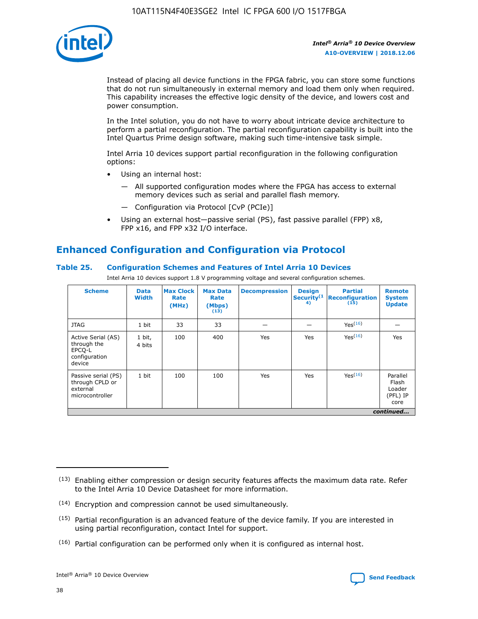

Instead of placing all device functions in the FPGA fabric, you can store some functions that do not run simultaneously in external memory and load them only when required. This capability increases the effective logic density of the device, and lowers cost and power consumption.

In the Intel solution, you do not have to worry about intricate device architecture to perform a partial reconfiguration. The partial reconfiguration capability is built into the Intel Quartus Prime design software, making such time-intensive task simple.

Intel Arria 10 devices support partial reconfiguration in the following configuration options:

- Using an internal host:
	- All supported configuration modes where the FPGA has access to external memory devices such as serial and parallel flash memory.
	- Configuration via Protocol [CvP (PCIe)]
- Using an external host—passive serial (PS), fast passive parallel (FPP) x8, FPP x16, and FPP x32 I/O interface.

# **Enhanced Configuration and Configuration via Protocol**

## **Table 25. Configuration Schemes and Features of Intel Arria 10 Devices**

Intel Arria 10 devices support 1.8 V programming voltage and several configuration schemes.

| <b>Scheme</b>                                                          | <b>Data</b><br><b>Width</b> | <b>Max Clock</b><br>Rate<br>(MHz) | <b>Max Data</b><br>Rate<br>(Mbps)<br>(13) | <b>Decompression</b> | <b>Design</b><br>Security <sup>(1</sup><br>4) | <b>Partial</b><br><b>Reconfiguration</b><br>(15) | <b>Remote</b><br><b>System</b><br><b>Update</b> |
|------------------------------------------------------------------------|-----------------------------|-----------------------------------|-------------------------------------------|----------------------|-----------------------------------------------|--------------------------------------------------|-------------------------------------------------|
| <b>JTAG</b>                                                            | 1 bit                       | 33                                | 33                                        |                      |                                               | Yes(16)                                          |                                                 |
| Active Serial (AS)<br>through the<br>EPCO-L<br>configuration<br>device | 1 bit,<br>4 bits            | 100                               | 400                                       | Yes                  | Yes                                           | $Y_{PS}(16)$                                     | Yes                                             |
| Passive serial (PS)<br>through CPLD or<br>external<br>microcontroller  | 1 bit                       | 100                               | 100                                       | Yes                  | Yes                                           | Yes(16)                                          | Parallel<br>Flash<br>Loader<br>(PFL) IP<br>core |
|                                                                        |                             |                                   |                                           |                      |                                               |                                                  | continued                                       |

<sup>(13)</sup> Enabling either compression or design security features affects the maximum data rate. Refer to the Intel Arria 10 Device Datasheet for more information.

<sup>(14)</sup> Encryption and compression cannot be used simultaneously.

 $(15)$  Partial reconfiguration is an advanced feature of the device family. If you are interested in using partial reconfiguration, contact Intel for support.

 $(16)$  Partial configuration can be performed only when it is configured as internal host.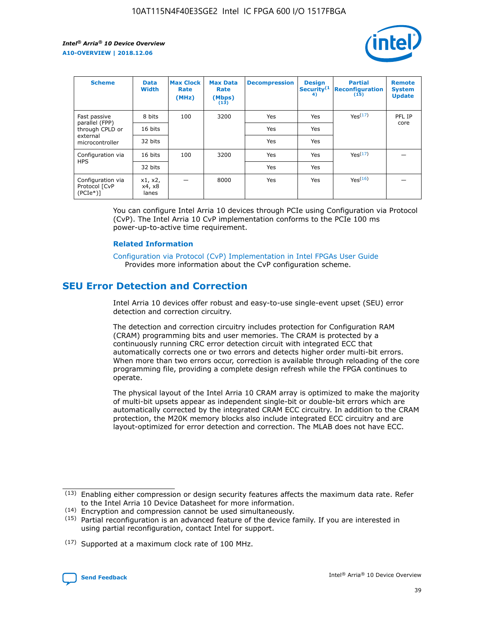

| <b>Scheme</b>                                    | <b>Data</b><br><b>Width</b> | <b>Max Clock</b><br>Rate<br>(MHz) | <b>Max Data</b><br>Rate<br>(Mbps)<br>(13) | <b>Decompression</b> | <b>Design</b><br>Security <sup>(1</sup><br>4) | <b>Partial</b><br><b>Reconfiguration</b><br>(15) | <b>Remote</b><br><b>System</b><br><b>Update</b> |
|--------------------------------------------------|-----------------------------|-----------------------------------|-------------------------------------------|----------------------|-----------------------------------------------|--------------------------------------------------|-------------------------------------------------|
| Fast passive                                     | 8 bits                      | 100                               | 3200                                      | Yes                  | Yes                                           | Yes(17)                                          | PFL IP                                          |
| parallel (FPP)<br>through CPLD or                | 16 bits                     |                                   |                                           | Yes                  | Yes                                           |                                                  | core                                            |
| external<br>microcontroller                      | 32 bits                     |                                   |                                           | Yes                  | Yes                                           |                                                  |                                                 |
| Configuration via                                | 16 bits                     | 100                               | 3200                                      | Yes                  | Yes                                           | Yes <sup>(17)</sup>                              |                                                 |
| <b>HPS</b>                                       | 32 bits                     |                                   |                                           | Yes                  | Yes                                           |                                                  |                                                 |
| Configuration via<br>Protocol [CvP<br>$(PCIe^*)$ | x1, x2,<br>x4, x8<br>lanes  |                                   | 8000                                      | Yes                  | Yes                                           | Yes(16)                                          |                                                 |

You can configure Intel Arria 10 devices through PCIe using Configuration via Protocol (CvP). The Intel Arria 10 CvP implementation conforms to the PCIe 100 ms power-up-to-active time requirement.

#### **Related Information**

[Configuration via Protocol \(CvP\) Implementation in Intel FPGAs User Guide](https://www.intel.com/content/www/us/en/programmable/documentation/dsu1441819344145.html#dsu1442269728522) Provides more information about the CvP configuration scheme.

# **SEU Error Detection and Correction**

Intel Arria 10 devices offer robust and easy-to-use single-event upset (SEU) error detection and correction circuitry.

The detection and correction circuitry includes protection for Configuration RAM (CRAM) programming bits and user memories. The CRAM is protected by a continuously running CRC error detection circuit with integrated ECC that automatically corrects one or two errors and detects higher order multi-bit errors. When more than two errors occur, correction is available through reloading of the core programming file, providing a complete design refresh while the FPGA continues to operate.

The physical layout of the Intel Arria 10 CRAM array is optimized to make the majority of multi-bit upsets appear as independent single-bit or double-bit errors which are automatically corrected by the integrated CRAM ECC circuitry. In addition to the CRAM protection, the M20K memory blocks also include integrated ECC circuitry and are layout-optimized for error detection and correction. The MLAB does not have ECC.

(14) Encryption and compression cannot be used simultaneously.

<sup>(17)</sup> Supported at a maximum clock rate of 100 MHz.



 $(13)$  Enabling either compression or design security features affects the maximum data rate. Refer to the Intel Arria 10 Device Datasheet for more information.

 $(15)$  Partial reconfiguration is an advanced feature of the device family. If you are interested in using partial reconfiguration, contact Intel for support.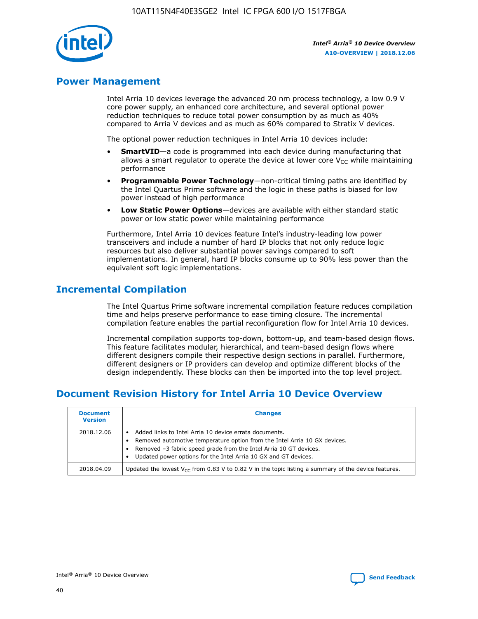

# **Power Management**

Intel Arria 10 devices leverage the advanced 20 nm process technology, a low 0.9 V core power supply, an enhanced core architecture, and several optional power reduction techniques to reduce total power consumption by as much as 40% compared to Arria V devices and as much as 60% compared to Stratix V devices.

The optional power reduction techniques in Intel Arria 10 devices include:

- **SmartVID**—a code is programmed into each device during manufacturing that allows a smart regulator to operate the device at lower core  $V_{CC}$  while maintaining performance
- **Programmable Power Technology**—non-critical timing paths are identified by the Intel Quartus Prime software and the logic in these paths is biased for low power instead of high performance
- **Low Static Power Options**—devices are available with either standard static power or low static power while maintaining performance

Furthermore, Intel Arria 10 devices feature Intel's industry-leading low power transceivers and include a number of hard IP blocks that not only reduce logic resources but also deliver substantial power savings compared to soft implementations. In general, hard IP blocks consume up to 90% less power than the equivalent soft logic implementations.

# **Incremental Compilation**

The Intel Quartus Prime software incremental compilation feature reduces compilation time and helps preserve performance to ease timing closure. The incremental compilation feature enables the partial reconfiguration flow for Intel Arria 10 devices.

Incremental compilation supports top-down, bottom-up, and team-based design flows. This feature facilitates modular, hierarchical, and team-based design flows where different designers compile their respective design sections in parallel. Furthermore, different designers or IP providers can develop and optimize different blocks of the design independently. These blocks can then be imported into the top level project.

# **Document Revision History for Intel Arria 10 Device Overview**

| <b>Document</b><br><b>Version</b> | <b>Changes</b>                                                                                                                                                                                                                                                              |
|-----------------------------------|-----------------------------------------------------------------------------------------------------------------------------------------------------------------------------------------------------------------------------------------------------------------------------|
| 2018.12.06                        | Added links to Intel Arria 10 device errata documents.<br>Removed automotive temperature option from the Intel Arria 10 GX devices.<br>Removed -3 fabric speed grade from the Intel Arria 10 GT devices.<br>Updated power options for the Intel Arria 10 GX and GT devices. |
| 2018.04.09                        | Updated the lowest $V_{CC}$ from 0.83 V to 0.82 V in the topic listing a summary of the device features.                                                                                                                                                                    |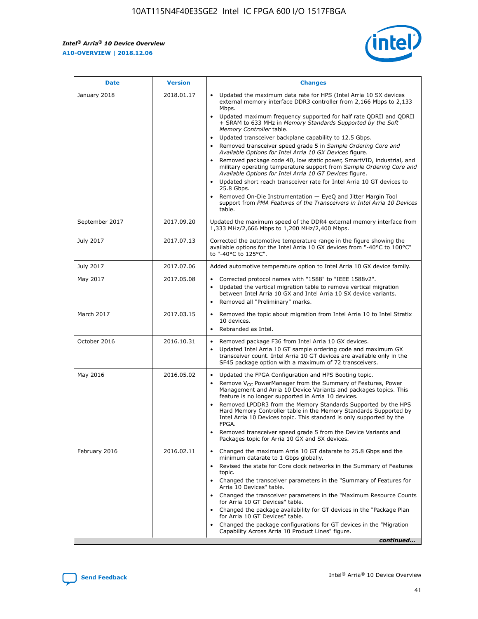*Intel® Arria® 10 Device Overview* **A10-OVERVIEW | 2018.12.06**



| <b>Date</b>    | <b>Version</b> | <b>Changes</b>                                                                                                                                                                                                                                                                                                                                                                                                                                                                                                                                                                                                                                                                                                                                                                                                                                                                                                                                                            |
|----------------|----------------|---------------------------------------------------------------------------------------------------------------------------------------------------------------------------------------------------------------------------------------------------------------------------------------------------------------------------------------------------------------------------------------------------------------------------------------------------------------------------------------------------------------------------------------------------------------------------------------------------------------------------------------------------------------------------------------------------------------------------------------------------------------------------------------------------------------------------------------------------------------------------------------------------------------------------------------------------------------------------|
| January 2018   | 2018.01.17     | Updated the maximum data rate for HPS (Intel Arria 10 SX devices<br>external memory interface DDR3 controller from 2,166 Mbps to 2,133<br>Mbps.<br>Updated maximum frequency supported for half rate QDRII and QDRII<br>+ SRAM to 633 MHz in Memory Standards Supported by the Soft<br>Memory Controller table.<br>Updated transceiver backplane capability to 12.5 Gbps.<br>$\bullet$<br>Removed transceiver speed grade 5 in Sample Ordering Core and<br>Available Options for Intel Arria 10 GX Devices figure.<br>Removed package code 40, low static power, SmartVID, industrial, and<br>military operating temperature support from Sample Ordering Core and<br>Available Options for Intel Arria 10 GT Devices figure.<br>Updated short reach transceiver rate for Intel Arria 10 GT devices to<br>25.8 Gbps.<br>Removed On-Die Instrumentation - EyeQ and Jitter Margin Tool<br>support from PMA Features of the Transceivers in Intel Arria 10 Devices<br>table. |
| September 2017 | 2017.09.20     | Updated the maximum speed of the DDR4 external memory interface from<br>1,333 MHz/2,666 Mbps to 1,200 MHz/2,400 Mbps.                                                                                                                                                                                                                                                                                                                                                                                                                                                                                                                                                                                                                                                                                                                                                                                                                                                     |
| July 2017      | 2017.07.13     | Corrected the automotive temperature range in the figure showing the<br>available options for the Intel Arria 10 GX devices from "-40°C to 100°C"<br>to "-40°C to 125°C".                                                                                                                                                                                                                                                                                                                                                                                                                                                                                                                                                                                                                                                                                                                                                                                                 |
| July 2017      | 2017.07.06     | Added automotive temperature option to Intel Arria 10 GX device family.                                                                                                                                                                                                                                                                                                                                                                                                                                                                                                                                                                                                                                                                                                                                                                                                                                                                                                   |
| May 2017       | 2017.05.08     | Corrected protocol names with "1588" to "IEEE 1588v2".<br>$\bullet$<br>Updated the vertical migration table to remove vertical migration<br>$\bullet$<br>between Intel Arria 10 GX and Intel Arria 10 SX device variants.<br>Removed all "Preliminary" marks.<br>$\bullet$                                                                                                                                                                                                                                                                                                                                                                                                                                                                                                                                                                                                                                                                                                |
| March 2017     | 2017.03.15     | Removed the topic about migration from Intel Arria 10 to Intel Stratix<br>10 devices.<br>Rebranded as Intel.<br>$\bullet$                                                                                                                                                                                                                                                                                                                                                                                                                                                                                                                                                                                                                                                                                                                                                                                                                                                 |
| October 2016   | 2016.10.31     | Removed package F36 from Intel Arria 10 GX devices.<br>Updated Intel Arria 10 GT sample ordering code and maximum GX<br>$\bullet$<br>transceiver count. Intel Arria 10 GT devices are available only in the<br>SF45 package option with a maximum of 72 transceivers.                                                                                                                                                                                                                                                                                                                                                                                                                                                                                                                                                                                                                                                                                                     |
| May 2016       | 2016.05.02     | Updated the FPGA Configuration and HPS Booting topic.<br>$\bullet$<br>Remove V <sub>CC</sub> PowerManager from the Summary of Features, Power<br>Management and Arria 10 Device Variants and packages topics. This<br>feature is no longer supported in Arria 10 devices.<br>Removed LPDDR3 from the Memory Standards Supported by the HPS<br>Hard Memory Controller table in the Memory Standards Supported by<br>Intel Arria 10 Devices topic. This standard is only supported by the<br>FPGA.<br>Removed transceiver speed grade 5 from the Device Variants and<br>Packages topic for Arria 10 GX and SX devices.                                                                                                                                                                                                                                                                                                                                                      |
| February 2016  | 2016.02.11     | Changed the maximum Arria 10 GT datarate to 25.8 Gbps and the<br>minimum datarate to 1 Gbps globally.<br>Revised the state for Core clock networks in the Summary of Features<br>$\bullet$<br>topic.<br>Changed the transceiver parameters in the "Summary of Features for<br>$\bullet$<br>Arria 10 Devices" table.<br>• Changed the transceiver parameters in the "Maximum Resource Counts<br>for Arria 10 GT Devices" table.<br>Changed the package availability for GT devices in the "Package Plan<br>for Arria 10 GT Devices" table.<br>Changed the package configurations for GT devices in the "Migration"<br>Capability Across Arria 10 Product Lines" figure.<br>continued                                                                                                                                                                                                                                                                                       |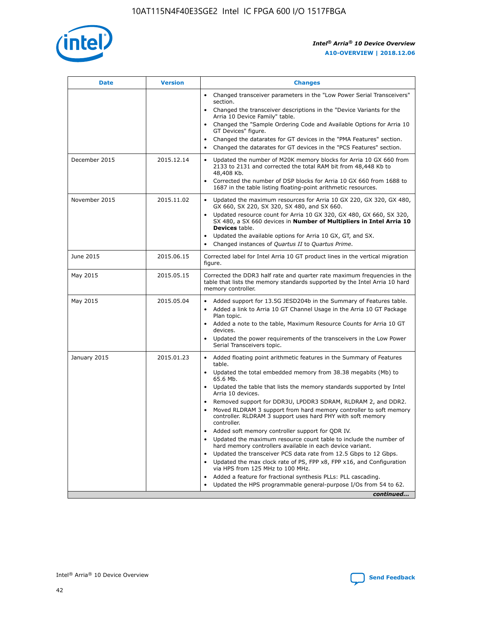

| <b>Date</b>   | <b>Version</b> | <b>Changes</b>                                                                                                                                                               |
|---------------|----------------|------------------------------------------------------------------------------------------------------------------------------------------------------------------------------|
|               |                | • Changed transceiver parameters in the "Low Power Serial Transceivers"<br>section.                                                                                          |
|               |                | • Changed the transceiver descriptions in the "Device Variants for the<br>Arria 10 Device Family" table.                                                                     |
|               |                | Changed the "Sample Ordering Code and Available Options for Arria 10<br>$\bullet$<br>GT Devices" figure.                                                                     |
|               |                | Changed the datarates for GT devices in the "PMA Features" section.                                                                                                          |
|               |                | Changed the datarates for GT devices in the "PCS Features" section.<br>$\bullet$                                                                                             |
| December 2015 | 2015.12.14     | Updated the number of M20K memory blocks for Arria 10 GX 660 from<br>2133 to 2131 and corrected the total RAM bit from 48,448 Kb to<br>48,408 Kb.                            |
|               |                | Corrected the number of DSP blocks for Arria 10 GX 660 from 1688 to<br>1687 in the table listing floating-point arithmetic resources.                                        |
| November 2015 | 2015.11.02     | Updated the maximum resources for Arria 10 GX 220, GX 320, GX 480,<br>$\bullet$<br>GX 660, SX 220, SX 320, SX 480, and SX 660.                                               |
|               |                | • Updated resource count for Arria 10 GX 320, GX 480, GX 660, SX 320,<br>SX 480, a SX 660 devices in Number of Multipliers in Intel Arria 10<br><b>Devices</b> table.        |
|               |                | Updated the available options for Arria 10 GX, GT, and SX.                                                                                                                   |
|               |                | Changed instances of Quartus II to Quartus Prime.<br>$\bullet$                                                                                                               |
| June 2015     | 2015.06.15     | Corrected label for Intel Arria 10 GT product lines in the vertical migration<br>figure.                                                                                     |
| May 2015      | 2015.05.15     | Corrected the DDR3 half rate and quarter rate maximum frequencies in the<br>table that lists the memory standards supported by the Intel Arria 10 hard<br>memory controller. |
| May 2015      | 2015.05.04     | • Added support for 13.5G JESD204b in the Summary of Features table.                                                                                                         |
|               |                | • Added a link to Arria 10 GT Channel Usage in the Arria 10 GT Package<br>Plan topic.                                                                                        |
|               |                | • Added a note to the table, Maximum Resource Counts for Arria 10 GT<br>devices.                                                                                             |
|               |                | • Updated the power requirements of the transceivers in the Low Power<br>Serial Transceivers topic.                                                                          |
| January 2015  | 2015.01.23     | • Added floating point arithmetic features in the Summary of Features<br>table.                                                                                              |
|               |                | • Updated the total embedded memory from 38.38 megabits (Mb) to<br>65.6 Mb.                                                                                                  |
|               |                | • Updated the table that lists the memory standards supported by Intel<br>Arria 10 devices.                                                                                  |
|               |                | Removed support for DDR3U, LPDDR3 SDRAM, RLDRAM 2, and DDR2.                                                                                                                 |
|               |                | Moved RLDRAM 3 support from hard memory controller to soft memory<br>controller. RLDRAM 3 support uses hard PHY with soft memory<br>controller.                              |
|               |                | Added soft memory controller support for QDR IV.<br>٠                                                                                                                        |
|               |                | Updated the maximum resource count table to include the number of<br>hard memory controllers available in each device variant.                                               |
|               |                | Updated the transceiver PCS data rate from 12.5 Gbps to 12 Gbps.<br>$\bullet$                                                                                                |
|               |                | Updated the max clock rate of PS, FPP x8, FPP x16, and Configuration<br>via HPS from 125 MHz to 100 MHz.                                                                     |
|               |                | Added a feature for fractional synthesis PLLs: PLL cascading.                                                                                                                |
|               |                | Updated the HPS programmable general-purpose I/Os from 54 to 62.<br>$\bullet$                                                                                                |
|               |                | continued                                                                                                                                                                    |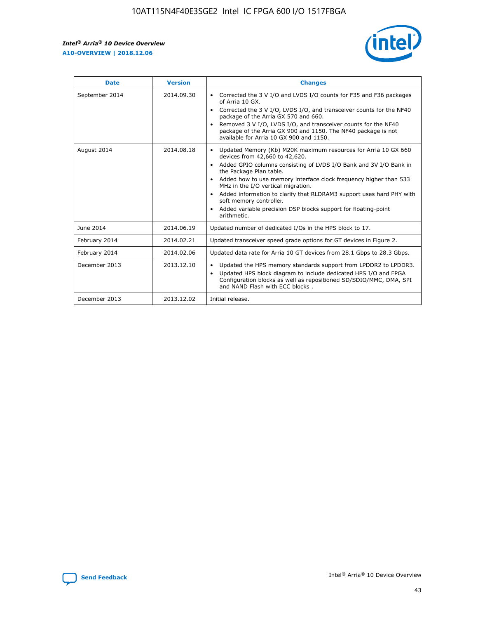r



| <b>Date</b>    | <b>Version</b> | <b>Changes</b>                                                                                                                                                                                                                                                                                                                                                                                                                                                                                                                                      |
|----------------|----------------|-----------------------------------------------------------------------------------------------------------------------------------------------------------------------------------------------------------------------------------------------------------------------------------------------------------------------------------------------------------------------------------------------------------------------------------------------------------------------------------------------------------------------------------------------------|
| September 2014 | 2014.09.30     | Corrected the 3 V I/O and LVDS I/O counts for F35 and F36 packages<br>$\bullet$<br>of Arria 10 GX.<br>Corrected the 3 V I/O, LVDS I/O, and transceiver counts for the NF40<br>$\bullet$<br>package of the Arria GX 570 and 660.<br>Removed 3 V I/O, LVDS I/O, and transceiver counts for the NF40<br>$\bullet$<br>package of the Arria GX 900 and 1150. The NF40 package is not<br>available for Arria 10 GX 900 and 1150.                                                                                                                          |
| August 2014    | 2014.08.18     | Updated Memory (Kb) M20K maximum resources for Arria 10 GX 660<br>devices from 42,660 to 42,620.<br>Added GPIO columns consisting of LVDS I/O Bank and 3V I/O Bank in<br>$\bullet$<br>the Package Plan table.<br>Added how to use memory interface clock frequency higher than 533<br>$\bullet$<br>MHz in the I/O vertical migration.<br>Added information to clarify that RLDRAM3 support uses hard PHY with<br>$\bullet$<br>soft memory controller.<br>Added variable precision DSP blocks support for floating-point<br>$\bullet$<br>arithmetic. |
| June 2014      | 2014.06.19     | Updated number of dedicated I/Os in the HPS block to 17.                                                                                                                                                                                                                                                                                                                                                                                                                                                                                            |
| February 2014  | 2014.02.21     | Updated transceiver speed grade options for GT devices in Figure 2.                                                                                                                                                                                                                                                                                                                                                                                                                                                                                 |
| February 2014  | 2014.02.06     | Updated data rate for Arria 10 GT devices from 28.1 Gbps to 28.3 Gbps.                                                                                                                                                                                                                                                                                                                                                                                                                                                                              |
| December 2013  | 2013.12.10     | Updated the HPS memory standards support from LPDDR2 to LPDDR3.<br>$\bullet$<br>Updated HPS block diagram to include dedicated HPS I/O and FPGA<br>$\bullet$<br>Configuration blocks as well as repositioned SD/SDIO/MMC, DMA, SPI<br>and NAND Flash with ECC blocks.                                                                                                                                                                                                                                                                               |
| December 2013  | 2013.12.02     | Initial release.                                                                                                                                                                                                                                                                                                                                                                                                                                                                                                                                    |